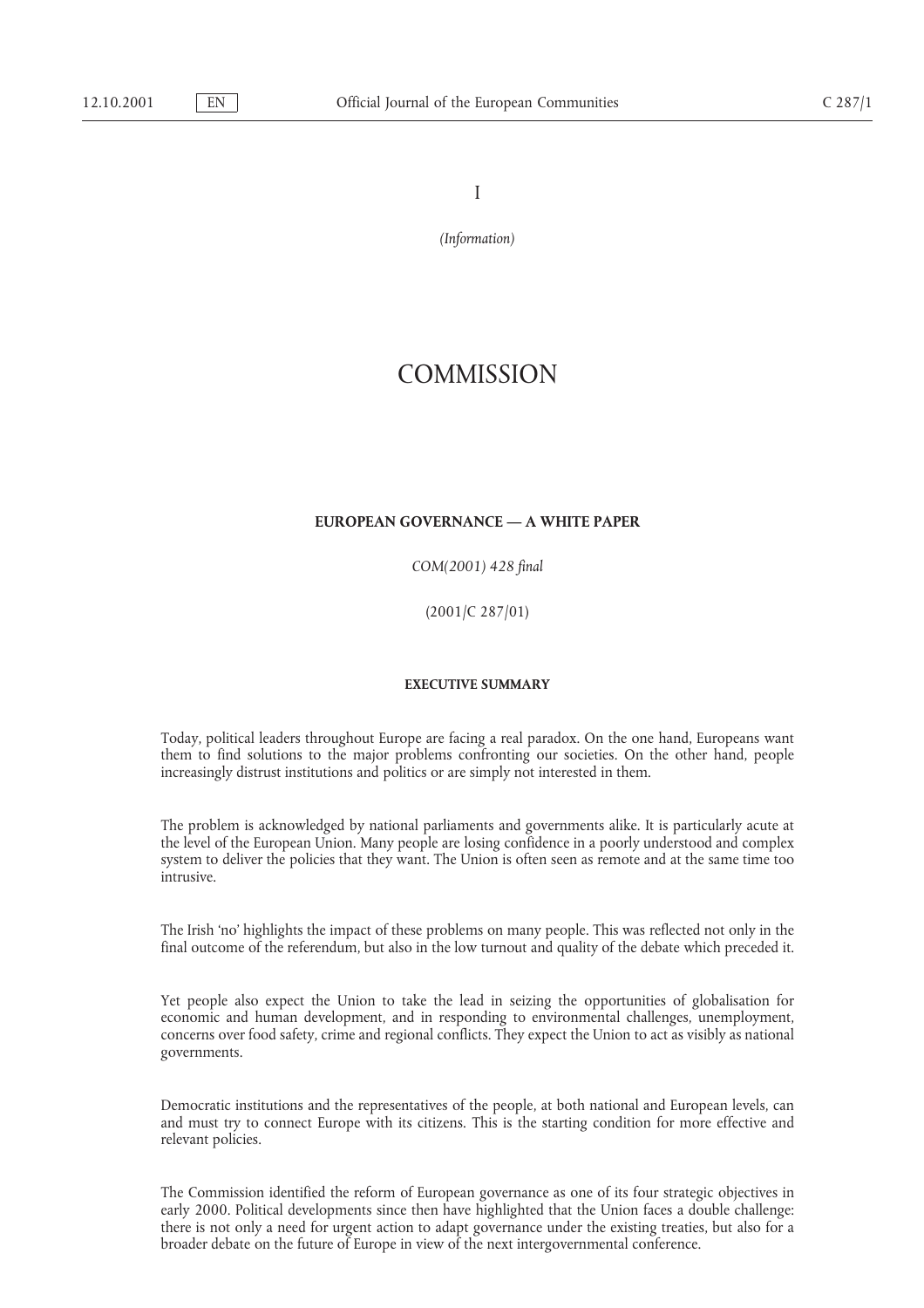I

*(Information)*

# **COMMISSION**

# **EUROPEAN GOVERNANCE — A WHITE PAPER**

*COM(2001) 428 final*

(2001/C 287/01)

#### **EXECUTIVE SUMMARY**

Today, political leaders throughout Europe are facing a real paradox. On the one hand, Europeans want them to find solutions to the major problems confronting our societies. On the other hand, people increasingly distrust institutions and politics or are simply not interested in them.

The problem is acknowledged by national parliaments and governments alike. It is particularly acute at the level of the European Union. Many people are losing confidence in a poorly understood and complex system to deliver the policies that they want. The Union is often seen as remote and at the same time too intrusive.

The Irish 'no' highlights the impact of these problems on many people. This was reflected not only in the final outcome of the referendum, but also in the low turnout and quality of the debate which preceded it.

Yet people also expect the Union to take the lead in seizing the opportunities of globalisation for economic and human development, and in responding to environmental challenges, unemployment, concerns over food safety, crime and regional conflicts. They expect the Union to act as visibly as national governments.

Democratic institutions and the representatives of the people, at both national and European levels, can and must try to connect Europe with its citizens. This is the starting condition for more effective and relevant policies.

The Commission identified the reform of European governance as one of its four strategic objectives in early 2000. Political developments since then have highlighted that the Union faces a double challenge: there is not only a need for urgent action to adapt governance under the existing treaties, but also for a broader debate on the future of Europe in view of the next intergovernmental conference.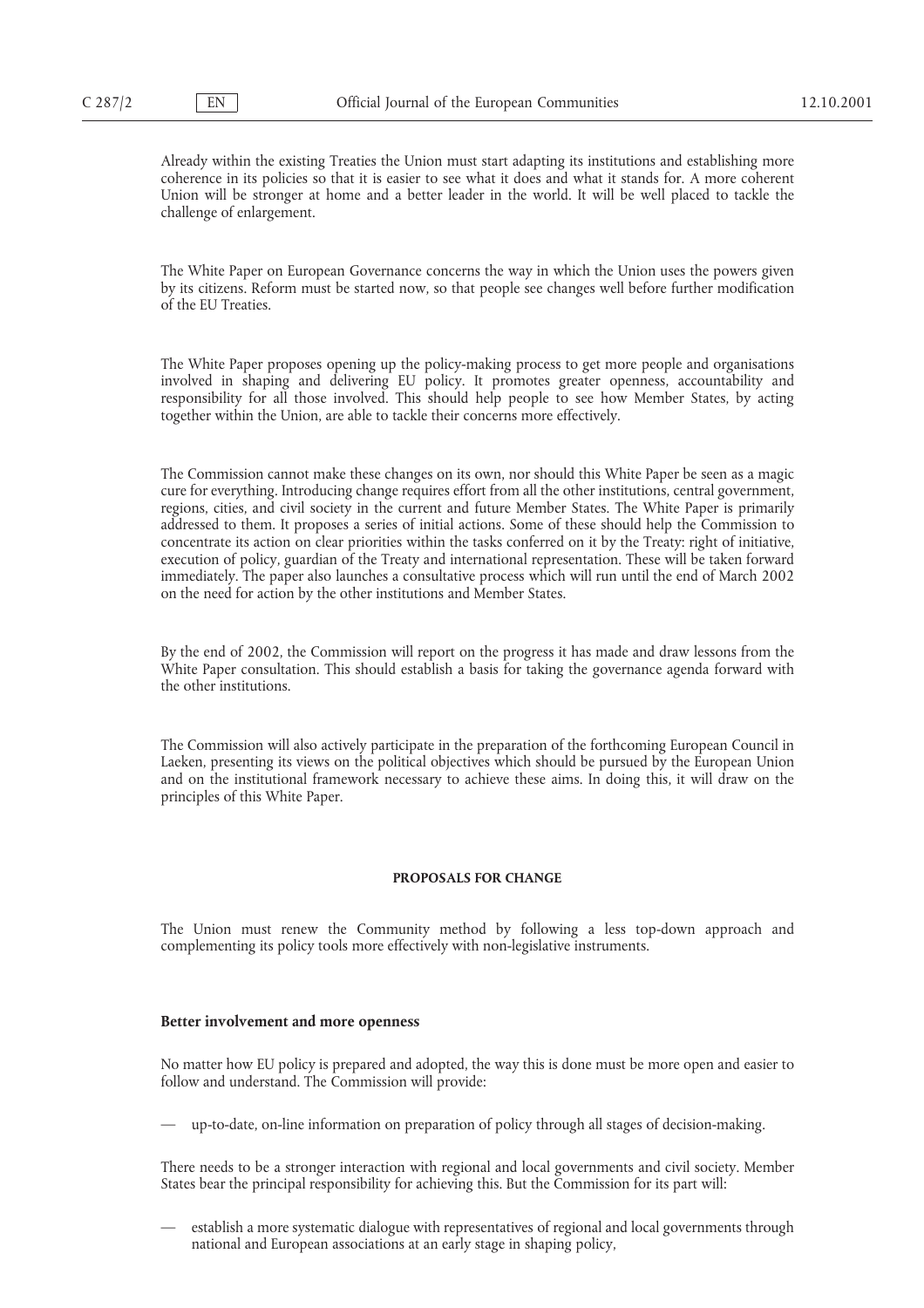Already within the existing Treaties the Union must start adapting its institutions and establishing more coherence in its policies so that it is easier to see what it does and what it stands for. A more coherent Union will be stronger at home and a better leader in the world. It will be well placed to tackle the challenge of enlargement.

The White Paper on European Governance concerns the way in which the Union uses the powers given by its citizens. Reform must be started now, so that people see changes well before further modification of the EU Treaties.

The White Paper proposes opening up the policy-making process to get more people and organisations involved in shaping and delivering EU policy. It promotes greater openness, accountability and responsibility for all those involved. This should help people to see how Member States, by acting together within the Union, are able to tackle their concerns more effectively.

The Commission cannot make these changes on its own, nor should this White Paper be seen as a magic cure for everything. Introducing change requires effort from all the other institutions, central government, regions, cities, and civil society in the current and future Member States. The White Paper is primarily addressed to them. It proposes a series of initial actions. Some of these should help the Commission to concentrate its action on clear priorities within the tasks conferred on it by the Treaty: right of initiative, execution of policy, guardian of the Treaty and international representation. These will be taken forward immediately. The paper also launches a consultative process which will run until the end of March 2002 on the need for action by the other institutions and Member States.

By the end of 2002, the Commission will report on the progress it has made and draw lessons from the White Paper consultation. This should establish a basis for taking the governance agenda forward with the other institutions.

The Commission will also actively participate in the preparation of the forthcoming European Council in Laeken, presenting its views on the political objectives which should be pursued by the European Union and on the institutional framework necessary to achieve these aims. In doing this, it will draw on the principles of this White Paper.

# **PROPOSALS FOR CHANGE**

The Union must renew the Community method by following a less top-down approach and complementing its policy tools more effectively with non-legislative instruments.

#### **Better involvement and more openness**

No matter how EU policy is prepared and adopted, the way this is done must be more open and easier to follow and understand. The Commission will provide:

— up-to-date, on-line information on preparation of policy through all stages of decision-making.

There needs to be a stronger interaction with regional and local governments and civil society. Member States bear the principal responsibility for achieving this. But the Commission for its part will:

— establish a more systematic dialogue with representatives of regional and local governments through national and European associations at an early stage in shaping policy,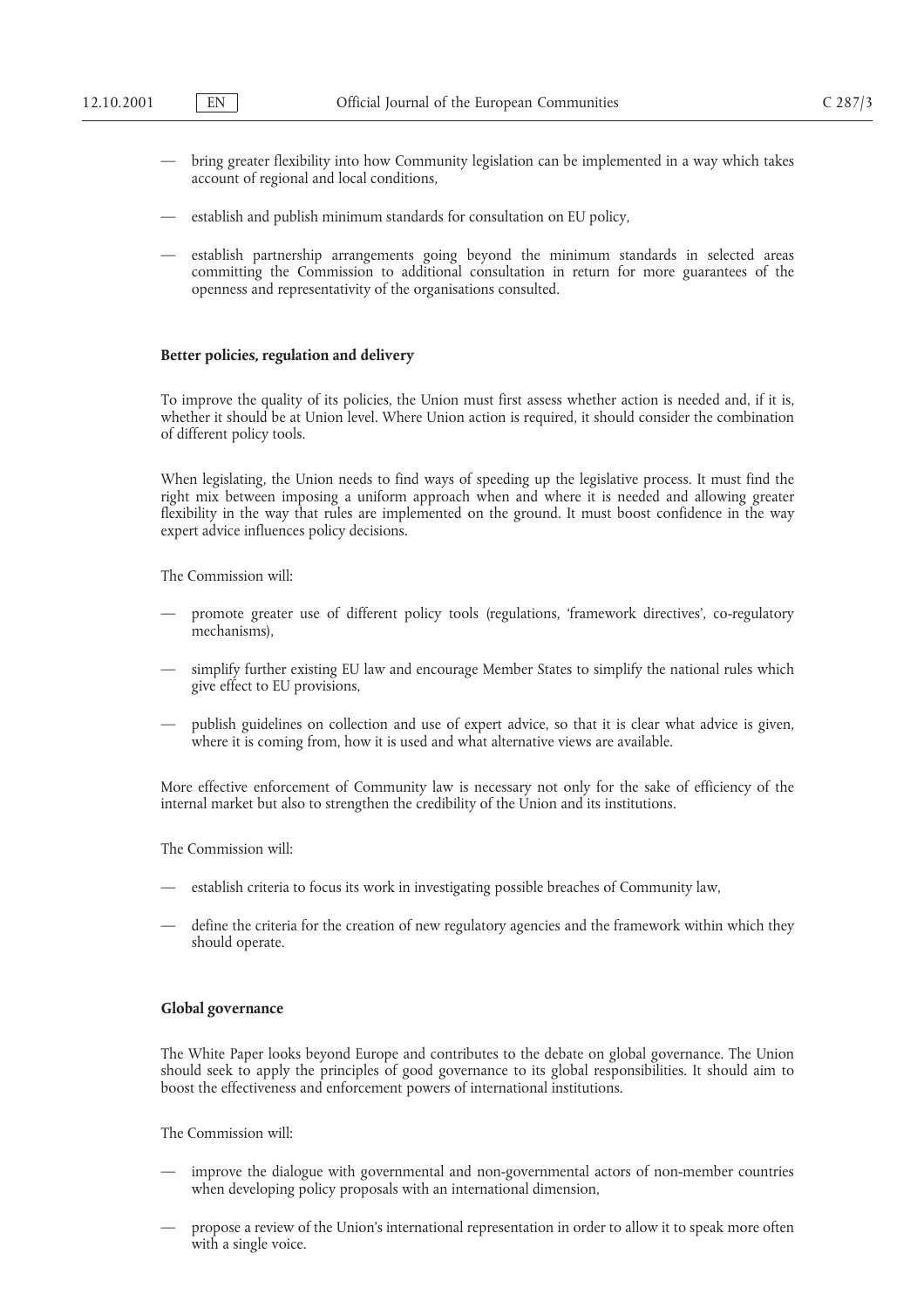- bring greater flexibility into how Community legislation can be implemented in a way which takes account of regional and local conditions,
- establish and publish minimum standards for consultation on EU policy,
- establish partnership arrangements going beyond the minimum standards in selected areas committing the Commission to additional consultation in return for more guarantees of the openness and representativity of the organisations consulted.

# **Better policies, regulation and delivery**

To improve the quality of its policies, the Union must first assess whether action is needed and, if it is, whether it should be at Union level. Where Union action is required, it should consider the combination of different policy tools.

When legislating, the Union needs to find ways of speeding up the legislative process. It must find the right mix between imposing a uniform approach when and where it is needed and allowing greater flexibility in the way that rules are implemented on the ground. It must boost confidence in the way expert advice influences policy decisions.

The Commission will:

- promote greater use of different policy tools (regulations, 'framework directives', co-regulatory mechanisms),
- simplify further existing EU law and encourage Member States to simplify the national rules which give effect to EU provisions,
- publish guidelines on collection and use of expert advice, so that it is clear what advice is given, where it is coming from, how it is used and what alternative views are available.

More effective enforcement of Community law is necessary not only for the sake of efficiency of the internal market but also to strengthen the credibility of the Union and its institutions.

The Commission will:

- establish criteria to focus its work in investigating possible breaches of Community law,
- define the criteria for the creation of new regulatory agencies and the framework within which they should operate.

#### **Global governance**

The White Paper looks beyond Europe and contributes to the debate on global governance. The Union should seek to apply the principles of good governance to its global responsibilities. It should aim to boost the effectiveness and enforcement powers of international institutions.

The Commission will:

- improve the dialogue with governmental and non-governmental actors of non-member countries when developing policy proposals with an international dimension,
- propose a review of the Union's international representation in order to allow it to speak more often with a single voice.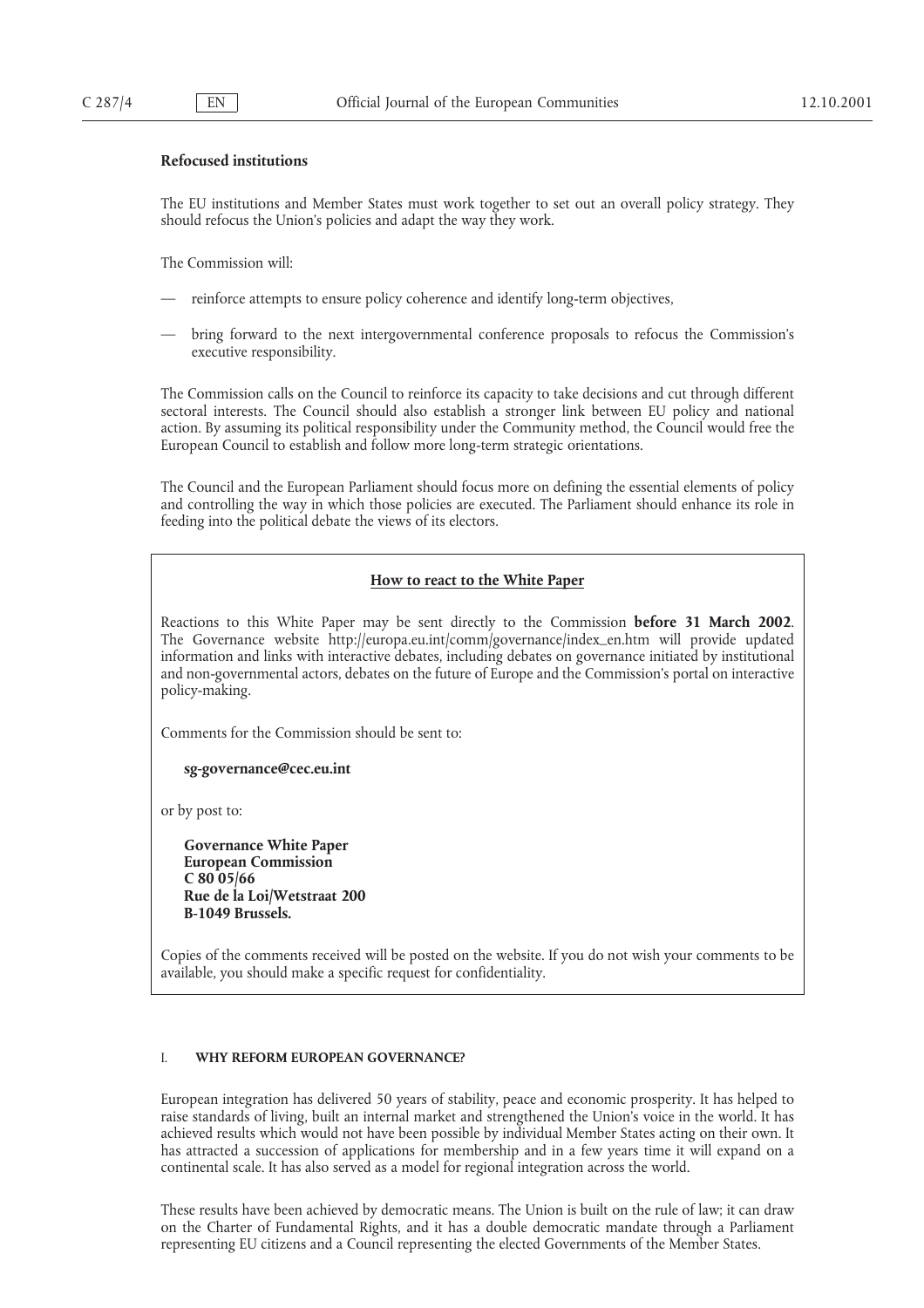# **Refocused institutions**

The EU institutions and Member States must work together to set out an overall policy strategy. They should refocus the Union's policies and adapt the way they work.

The Commission will:

- reinforce attempts to ensure policy coherence and identify long-term objectives,
- bring forward to the next intergovernmental conference proposals to refocus the Commission's executive responsibility.

The Commission calls on the Council to reinforce its capacity to take decisions and cut through different sectoral interests. The Council should also establish a stronger link between EU policy and national action. By assuming its political responsibility under the Community method, the Council would free the European Council to establish and follow more long-term strategic orientations.

The Council and the European Parliament should focus more on defining the essential elements of policy and controlling the way in which those policies are executed. The Parliament should enhance its role in feeding into the political debate the views of its electors.

### **How to react to the White Paper**

Reactions to this White Paper may be sent directly to the Commission **before 31 March 2002**. The Governance website http://europa.eu.int/comm/governance/index–en.htm will provide updated information and links with interactive debates, including debates on governance initiated by institutional and non-governmental actors, debates on the future of Europe and the Commission's portal on interactive policy-making.

Comments for the Commission should be sent to:

**sg-governance@cec.eu.int**

or by post to:

**Governance White Paper European Commission C 80 05/66 Rue de la Loi/Wetstraat 200 B-1049 Brussels.**

Copies of the comments received will be posted on the website. If you do not wish your comments to be available, you should make a specific request for confidentiality.

### I. **WHY REFORM EUROPEAN GOVERNANCE?**

European integration has delivered 50 years of stability, peace and economic prosperity. It has helped to raise standards of living, built an internal market and strengthened the Union's voice in the world. It has achieved results which would not have been possible by individual Member States acting on their own. It has attracted a succession of applications for membership and in a few years time it will expand on a continental scale. It has also served as a model for regional integration across the world.

These results have been achieved by democratic means. The Union is built on the rule of law; it can draw on the Charter of Fundamental Rights, and it has a double democratic mandate through a Parliament representing EU citizens and a Council representing the elected Governments of the Member States.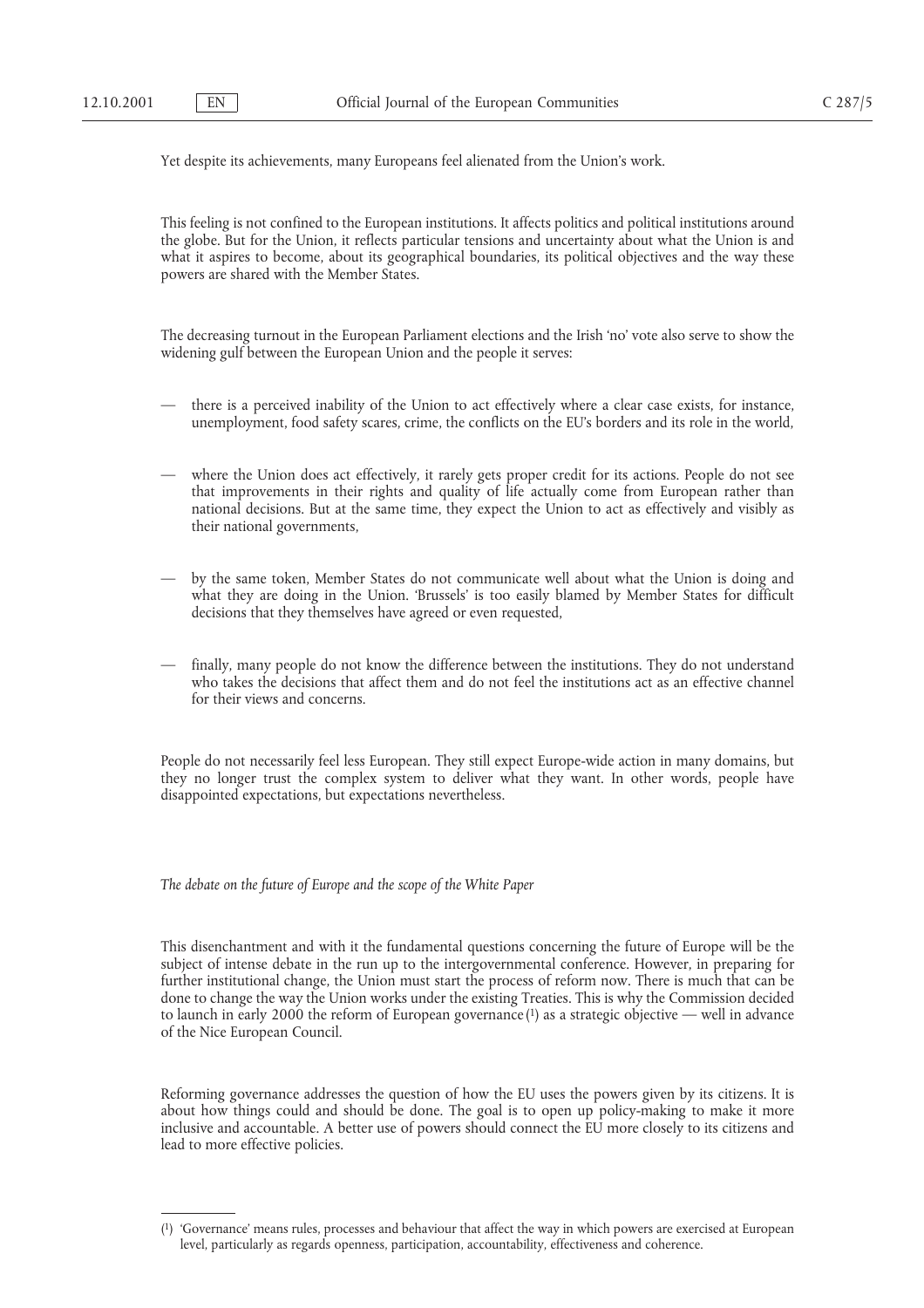Yet despite its achievements, many Europeans feel alienated from the Union's work.

This feeling is not confined to the European institutions. It affects politics and political institutions around the globe. But for the Union, it reflects particular tensions and uncertainty about what the Union is and what it aspires to become, about its geographical boundaries, its political objectives and the way these powers are shared with the Member States.

The decreasing turnout in the European Parliament elections and the Irish 'no' vote also serve to show the widening gulf between the European Union and the people it serves:

- there is a perceived inability of the Union to act effectively where a clear case exists, for instance, unemployment, food safety scares, crime, the conflicts on the EU's borders and its role in the world,
- where the Union does act effectively, it rarely gets proper credit for its actions. People do not see that improvements in their rights and quality of life actually come from European rather than national decisions. But at the same time, they expect the Union to act as effectively and visibly as their national governments,
- by the same token, Member States do not communicate well about what the Union is doing and what they are doing in the Union. 'Brussels' is too easily blamed by Member States for difficult decisions that they themselves have agreed or even requested,
- finally, many people do not know the difference between the institutions. They do not understand who takes the decisions that affect them and do not feel the institutions act as an effective channel for their views and concerns.

People do not necessarily feel less European. They still expect Europe-wide action in many domains, but they no longer trust the complex system to deliver what they want. In other words, people have disappointed expectations, but expectations nevertheless.

*The debate on the future of Europe and the scope of the White Paper*

This disenchantment and with it the fundamental questions concerning the future of Europe will be the subject of intense debate in the run up to the intergovernmental conference. However, in preparing for further institutional change, the Union must start the process of reform now. There is much that can be done to change the way the Union works under the existing Treaties. This is why the Commission decided to launch in early 2000 the reform of European governance  $(1)$  as a strategic objective — well in advance of the Nice European Council.

Reforming governance addresses the question of how the EU uses the powers given by its citizens. It is about how things could and should be done. The goal is to open up policy-making to make it more inclusive and accountable. A better use of powers should connect the EU more closely to its citizens and lead to more effective policies.

<sup>(1) &#</sup>x27;Governance' means rules, processes and behaviour that affect the way in which powers are exercised at European level, particularly as regards openness, participation, accountability, effectiveness and coherence.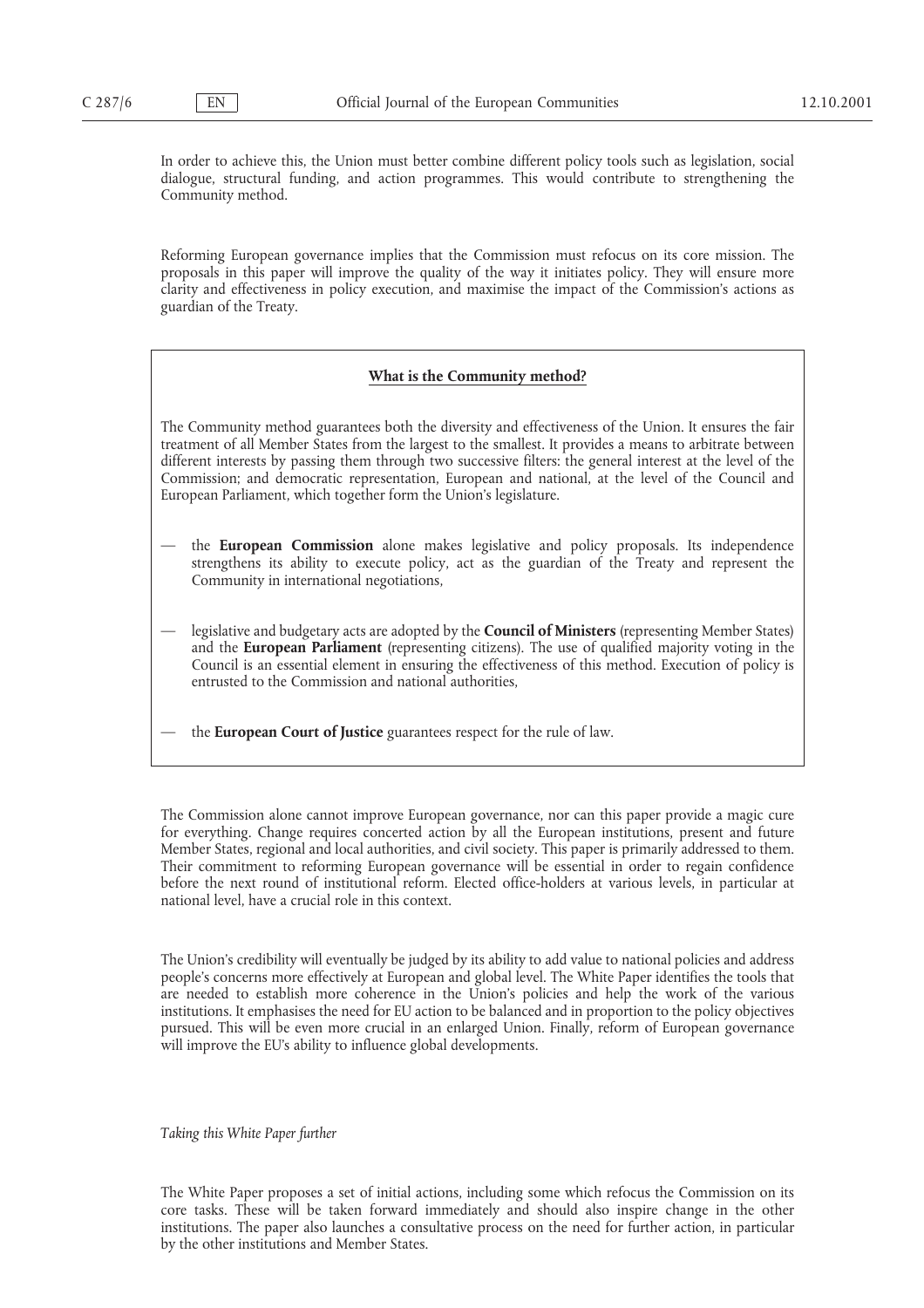In order to achieve this, the Union must better combine different policy tools such as legislation, social dialogue, structural funding, and action programmes. This would contribute to strengthening the Community method.

Reforming European governance implies that the Commission must refocus on its core mission. The proposals in this paper will improve the quality of the way it initiates policy. They will ensure more clarity and effectiveness in policy execution, and maximise the impact of the Commission's actions as guardian of the Treaty.

#### **What is the Community method?**

The Community method guarantees both the diversity and effectiveness of the Union. It ensures the fair treatment of all Member States from the largest to the smallest. It provides a means to arbitrate between different interests by passing them through two successive filters: the general interest at the level of the Commission; and democratic representation, European and national, at the level of the Council and European Parliament, which together form the Union's legislature.

- the **European Commission** alone makes legislative and policy proposals. Its independence strengthens its ability to execute policy, act as the guardian of the Treaty and represent the Community in international negotiations,
- legislative and budgetary acts are adopted by the **Council of Ministers** (representing Member States) and the **European Parliament** (representing citizens). The use of qualified majority voting in the Council is an essential element in ensuring the effectiveness of this method. Execution of policy is entrusted to the Commission and national authorities,
- the **European Court of Justice** guarantees respect for the rule of law.

The Commission alone cannot improve European governance, nor can this paper provide a magic cure for everything. Change requires concerted action by all the European institutions, present and future Member States, regional and local authorities, and civil society. This paper is primarily addressed to them. Their commitment to reforming European governance will be essential in order to regain confidence before the next round of institutional reform. Elected office-holders at various levels, in particular at national level, have a crucial role in this context.

The Union's credibility will eventually be judged by its ability to add value to national policies and address people's concerns more effectively at European and global level. The White Paper identifies the tools that are needed to establish more coherence in the Union's policies and help the work of the various institutions. It emphasises the need for EU action to be balanced and in proportion to the policy objectives pursued. This will be even more crucial in an enlarged Union. Finally, reform of European governance will improve the EU's ability to influence global developments.

*Taking this White Paper further*

The White Paper proposes a set of initial actions, including some which refocus the Commission on its core tasks. These will be taken forward immediately and should also inspire change in the other institutions. The paper also launches a consultative process on the need for further action, in particular by the other institutions and Member States.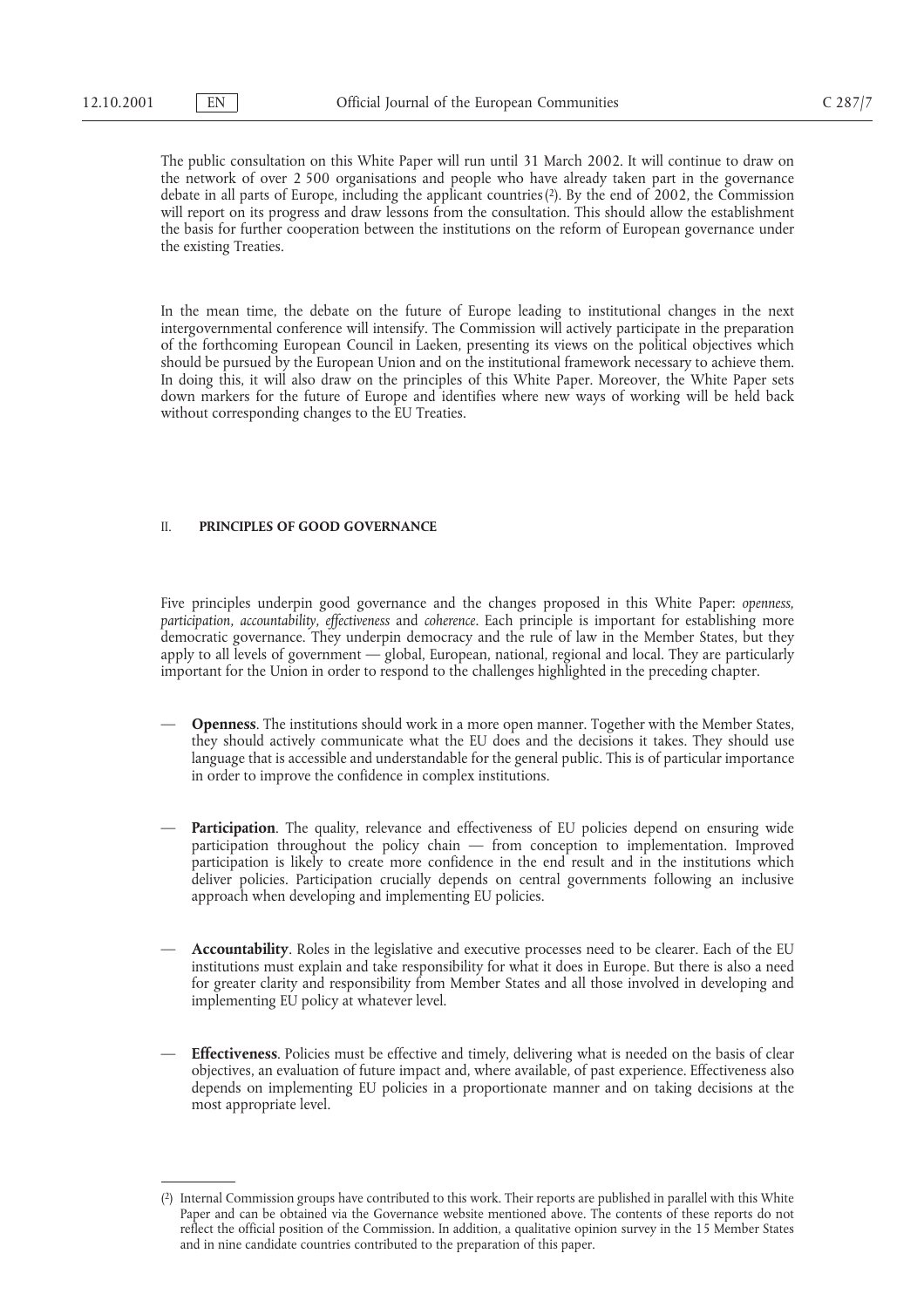The public consultation on this White Paper will run until 31 March 2002. It will continue to draw on the network of over 2 500 organisations and people who have already taken part in the governance debate in all parts of Europe, including the applicant countries(2). By the end of 2002, the Commission will report on its progress and draw lessons from the consultation. This should allow the establishment the basis for further cooperation between the institutions on the reform of European governance under the existing Treaties.

In the mean time, the debate on the future of Europe leading to institutional changes in the next intergovernmental conference will intensify. The Commission will actively participate in the preparation of the forthcoming European Council in Laeken, presenting its views on the political objectives which should be pursued by the European Union and on the institutional framework necessary to achieve them. In doing this, it will also draw on the principles of this White Paper. Moreover, the White Paper sets down markers for the future of Europe and identifies where new ways of working will be held back without corresponding changes to the EU Treaties.

### II. **PRINCIPLES OF GOOD GOVERNANCE**

Five principles underpin good governance and the changes proposed in this White Paper: *openness, participation, accountability, effectiveness* and *coherence*. Each principle is important for establishing more democratic governance. They underpin democracy and the rule of law in the Member States, but they apply to all levels of government — global, European, national, regional and local. They are particularly important for the Union in order to respond to the challenges highlighted in the preceding chapter.

- **Openness**. The institutions should work in a more open manner. Together with the Member States, they should actively communicate what the EU does and the decisions it takes. They should use language that is accessible and understandable for the general public. This is of particular importance in order to improve the confidence in complex institutions.
- **Participation**. The quality, relevance and effectiveness of EU policies depend on ensuring wide participation throughout the policy chain — from conception to implementation. Improved participation is likely to create more confidence in the end result and in the institutions which deliver policies. Participation crucially depends on central governments following an inclusive approach when developing and implementing EU policies.
- **Accountability**. Roles in the legislative and executive processes need to be clearer. Each of the EU institutions must explain and take responsibility for what it does in Europe. But there is also a need for greater clarity and responsibility from Member States and all those involved in developing and implementing EU policy at whatever level.
- **Effectiveness**. Policies must be effective and timely, delivering what is needed on the basis of clear objectives, an evaluation of future impact and, where available, of past experience. Effectiveness also depends on implementing EU policies in a proportionate manner and on taking decisions at the most appropriate level.

<sup>(2)</sup> Internal Commission groups have contributed to this work. Their reports are published in parallel with this White Paper and can be obtained via the Governance website mentioned above. The contents of these reports do not reflect the official position of the Commission. In addition, a qualitative opinion survey in the 15 Member States and in nine candidate countries contributed to the preparation of this paper.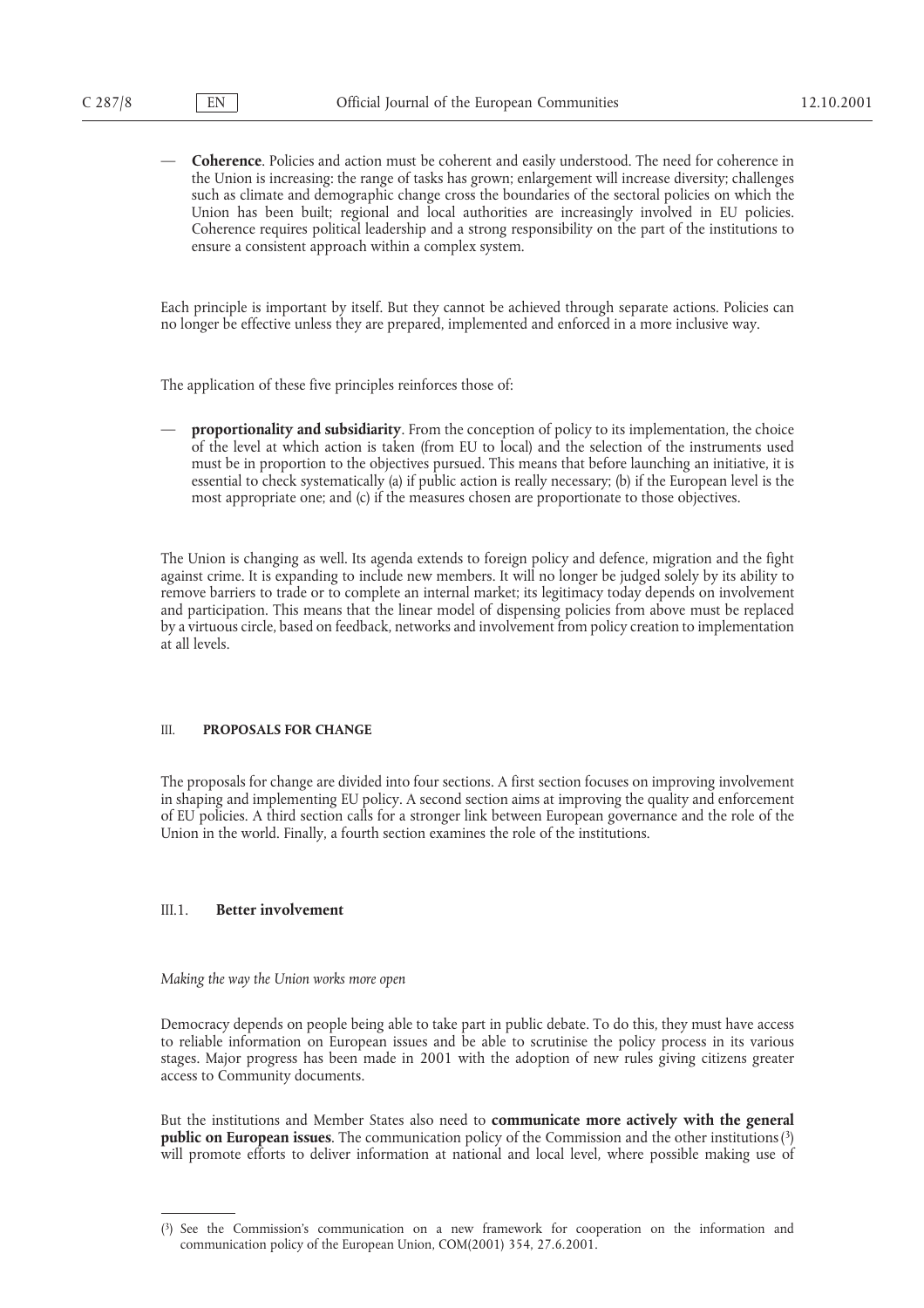— **Coherence**. Policies and action must be coherent and easily understood. The need for coherence in the Union is increasing: the range of tasks has grown; enlargement will increase diversity; challenges such as climate and demographic change cross the boundaries of the sectoral policies on which the Union has been built; regional and local authorities are increasingly involved in EU policies. Coherence requires political leadership and a strong responsibility on the part of the institutions to ensure a consistent approach within a complex system.

Each principle is important by itself. But they cannot be achieved through separate actions. Policies can no longer be effective unless they are prepared, implemented and enforced in a more inclusive way.

The application of these five principles reinforces those of:

— **proportionality and subsidiarity**. From the conception of policy to its implementation, the choice of the level at which action is taken (from EU to local) and the selection of the instruments used must be in proportion to the objectives pursued. This means that before launching an initiative, it is essential to check systematically (a) if public action is really necessary; (b) if the European level is the most appropriate one; and (c) if the measures chosen are proportionate to those objectives.

The Union is changing as well. Its agenda extends to foreign policy and defence, migration and the fight against crime. It is expanding to include new members. It will no longer be judged solely by its ability to remove barriers to trade or to complete an internal market; its legitimacy today depends on involvement and participation. This means that the linear model of dispensing policies from above must be replaced by a virtuous circle, based on feedback, networks and involvement from policy creation to implementation at all levels.

### III. **PROPOSALS FOR CHANGE**

The proposals for change are divided into four sections. A first section focuses on improving involvement in shaping and implementing EU policy. A second section aims at improving the quality and enforcement of EU policies. A third section calls for a stronger link between European governance and the role of the Union in the world. Finally, a fourth section examines the role of the institutions.

#### III.1. **Better involvement**

*Making the way the Union works more open*

Democracy depends on people being able to take part in public debate. To do this, they must have access to reliable information on European issues and be able to scrutinise the policy process in its various stages. Major progress has been made in 2001 with the adoption of new rules giving citizens greater access to Community documents.

But the institutions and Member States also need to **communicate more actively with the general public on European issues**. The communication policy of the Commission and the other institutions (3) will promote efforts to deliver information at national and local level, where possible making use of

<sup>(3)</sup> See the Commission's communication on a new framework for cooperation on the information and communication policy of the European Union, COM(2001) 354, 27.6.2001.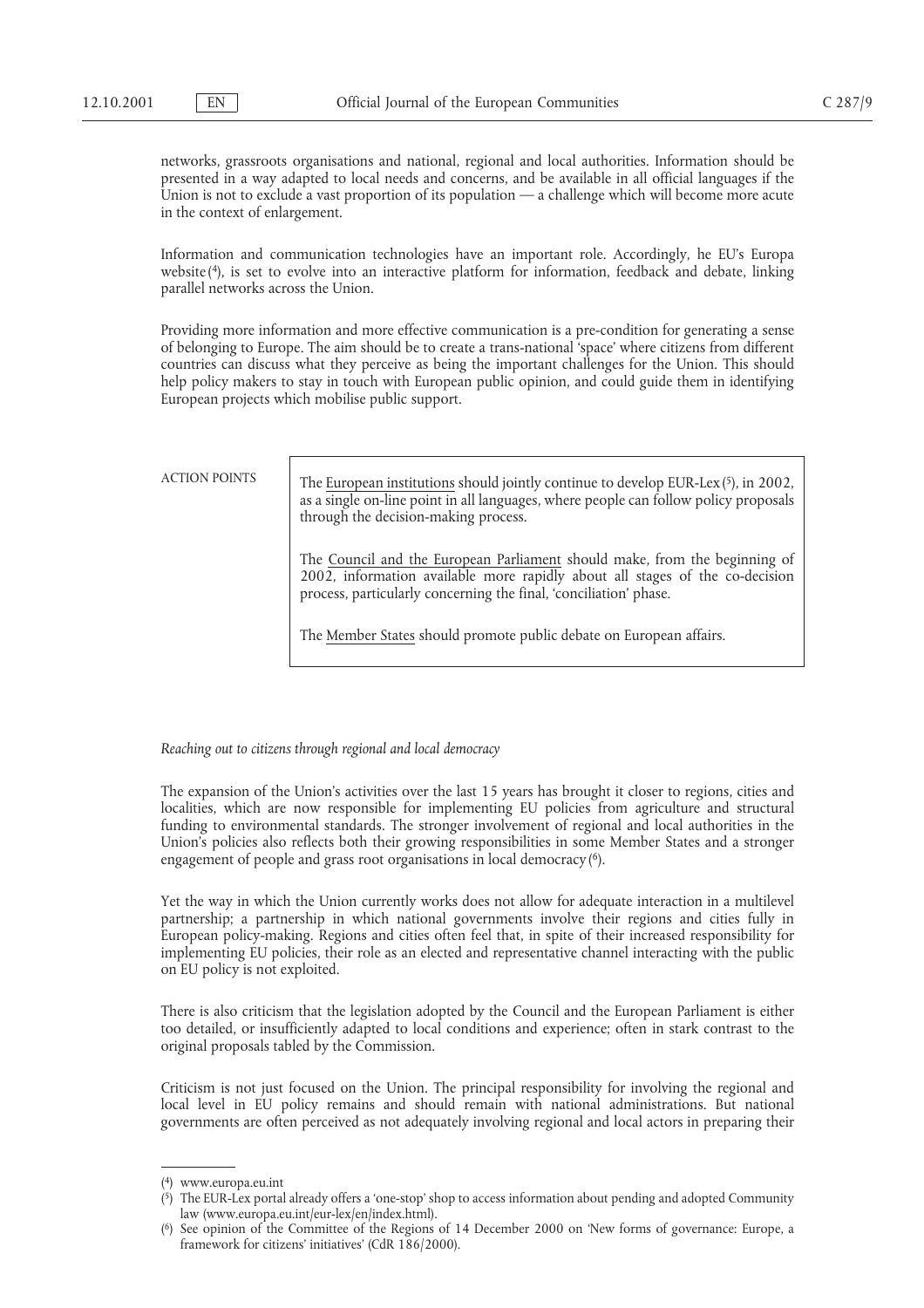networks, grassroots organisations and national, regional and local authorities. Information should be presented in a way adapted to local needs and concerns, and be available in all official languages if the Union is not to exclude a vast proportion of its population — a challenge which will become more acute in the context of enlargement.

Information and communication technologies have an important role. Accordingly, he EU's Europa website(4), is set to evolve into an interactive platform for information, feedback and debate, linking parallel networks across the Union.

Providing more information and more effective communication is a pre-condition for generating a sense of belonging to Europe. The aim should be to create a trans-national 'space' where citizens from different countries can discuss what they perceive as being the important challenges for the Union. This should help policy makers to stay in touch with European public opinion, and could guide them in identifying European projects which mobilise public support.

ACTION POINTS The European institutions should jointly continue to develop EUR-Lex(5), in 2002, as a single on-line point in all languages, where people can follow policy proposals through the decision-making process.

> The Council and the European Parliament should make, from the beginning of 2002, information available more rapidly about all stages of the co-decision process, particularly concerning the final, 'conciliation' phase.

The Member States should promote public debate on European affairs.

*Reaching out to citizens through regional and local democracy*

The expansion of the Union's activities over the last 15 years has brought it closer to regions, cities and localities, which are now responsible for implementing EU policies from agriculture and structural funding to environmental standards. The stronger involvement of regional and local authorities in the Union's policies also reflects both their growing responsibilities in some Member States and a stronger engagement of people and grass root organisations in local democracy(<sup>6</sup>).

Yet the way in which the Union currently works does not allow for adequate interaction in a multilevel partnership; a partnership in which national governments involve their regions and cities fully in European policy-making. Regions and cities often feel that, in spite of their increased responsibility for implementing EU policies, their role as an elected and representative channel interacting with the public on EU policy is not exploited.

There is also criticism that the legislation adopted by the Council and the European Parliament is either too detailed, or insufficiently adapted to local conditions and experience; often in stark contrast to the original proposals tabled by the Commission.

Criticism is not just focused on the Union. The principal responsibility for involving the regional and local level in EU policy remains and should remain with national administrations. But national governments are often perceived as not adequately involving regional and local actors in preparing their

<sup>(4)</sup> www.europa.eu.int

<sup>(</sup> 5) The EUR-Lex portal already offers a 'one-stop' shop to access information about pending and adopted Community law (www.europa.eu.int/eur-lex/en/index.html).

<sup>(</sup> 6) See opinion of the Committee of the Regions of 14 December 2000 on 'New forms of governance: Europe, a framework for citizens' initiatives' (CdR 186/2000).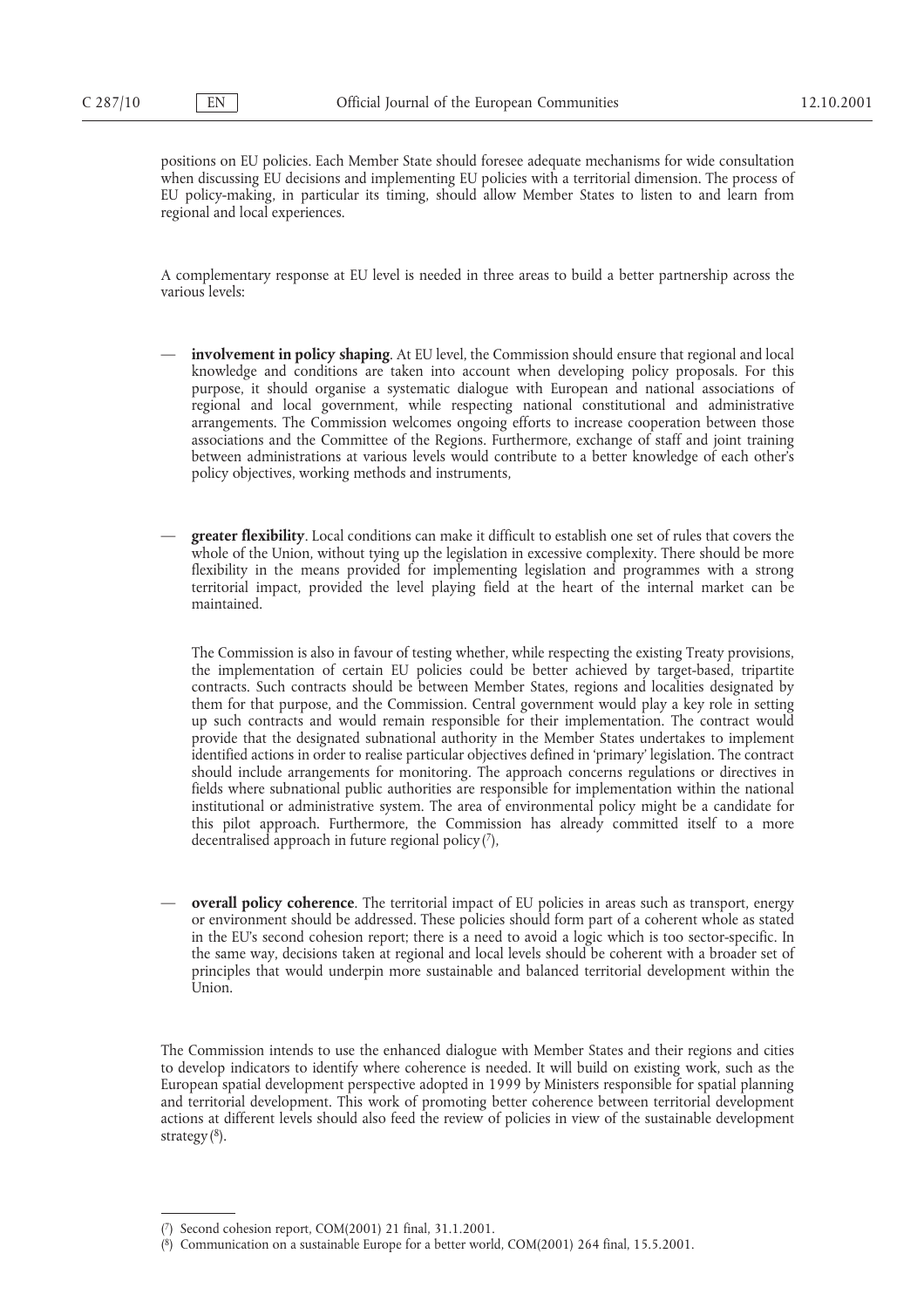positions on EU policies. Each Member State should foresee adequate mechanisms for wide consultation when discussing EU decisions and implementing EU policies with a territorial dimension. The process of EU policy-making, in particular its timing, should allow Member States to listen to and learn from regional and local experiences.

A complementary response at EU level is needed in three areas to build a better partnership across the various levels:

- involvement in policy shaping. At EU level, the Commission should ensure that regional and local knowledge and conditions are taken into account when developing policy proposals. For this purpose, it should organise a systematic dialogue with European and national associations of regional and local government, while respecting national constitutional and administrative arrangements. The Commission welcomes ongoing efforts to increase cooperation between those associations and the Committee of the Regions. Furthermore, exchange of staff and joint training between administrations at various levels would contribute to a better knowledge of each other's policy objectives, working methods and instruments,
- **greater flexibility**. Local conditions can make it difficult to establish one set of rules that covers the whole of the Union, without tying up the legislation in excessive complexity. There should be more flexibility in the means provided for implementing legislation and programmes with a strong territorial impact, provided the level playing field at the heart of the internal market can be maintained.

The Commission is also in favour of testing whether, while respecting the existing Treaty provisions, the implementation of certain EU policies could be better achieved by target-based, tripartite contracts. Such contracts should be between Member States, regions and localities designated by them for that purpose, and the Commission. Central government would play a key role in setting up such contracts and would remain responsible for their implementation. The contract would provide that the designated subnational authority in the Member States undertakes to implement identified actions in order to realise particular objectives defined in 'primary' legislation. The contract should include arrangements for monitoring. The approach concerns regulations or directives in fields where subnational public authorities are responsible for implementation within the national institutional or administrative system. The area of environmental policy might be a candidate for this pilot approach. Furthermore, the Commission has already committed itself to a more decentralised approach in future regional policy $(7)$ ,

— **overall policy coherence**. The territorial impact of EU policies in areas such as transport, energy or environment should be addressed. These policies should form part of a coherent whole as stated in the EU's second cohesion report; there is a need to avoid a logic which is too sector-specific. In the same way, decisions taken at regional and local levels should be coherent with a broader set of principles that would underpin more sustainable and balanced territorial development within the Union.

The Commission intends to use the enhanced dialogue with Member States and their regions and cities to develop indicators to identify where coherence is needed. It will build on existing work, such as the European spatial development perspective adopted in 1999 by Ministers responsible for spatial planning and territorial development. This work of promoting better coherence between territorial development actions at different levels should also feed the review of policies in view of the sustainable development strategy $(8)$ .

<sup>(7)</sup> Second cohesion report, COM(2001) 21 final, 31.1.2001.

<sup>(</sup> 8) Communication on a sustainable Europe for a better world, COM(2001) 264 final, 15.5.2001.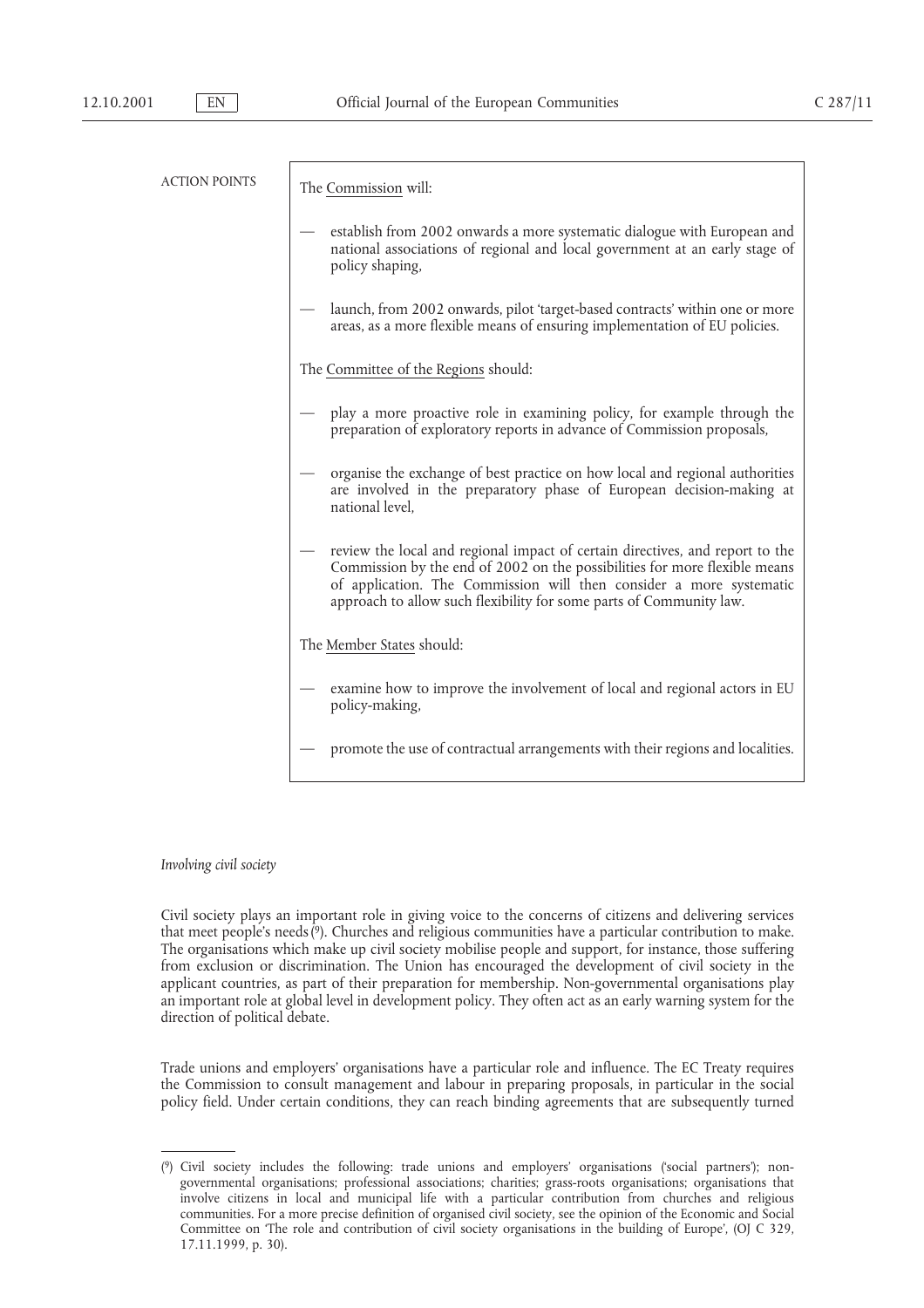| <b>ACTION POINTS</b> | The Commission will:                                                                                                                                                                                                                                                                                        |
|----------------------|-------------------------------------------------------------------------------------------------------------------------------------------------------------------------------------------------------------------------------------------------------------------------------------------------------------|
|                      | establish from 2002 onwards a more systematic dialogue with European and<br>national associations of regional and local government at an early stage of<br>policy shaping,                                                                                                                                  |
|                      | launch, from 2002 onwards, pilot 'target-based contracts' within one or more<br>areas, as a more flexible means of ensuring implementation of EU policies.                                                                                                                                                  |
|                      | The Committee of the Regions should:                                                                                                                                                                                                                                                                        |
|                      | play a more proactive role in examining policy, for example through the<br>preparation of exploratory reports in advance of Commission proposals,                                                                                                                                                           |
|                      | organise the exchange of best practice on how local and regional authorities<br>are involved in the preparatory phase of European decision-making at<br>national level,                                                                                                                                     |
|                      | - review the local and regional impact of certain directives, and report to the<br>Commission by the end of 2002 on the possibilities for more flexible means<br>of application. The Commission will then consider a more systematic<br>approach to allow such flexibility for some parts of Community law. |
|                      | The Member States should:                                                                                                                                                                                                                                                                                   |
|                      | examine how to improve the involvement of local and regional actors in EU<br>policy-making,                                                                                                                                                                                                                 |
|                      | promote the use of contractual arrangements with their regions and localities.                                                                                                                                                                                                                              |

### *Involving civil society*

Civil society plays an important role in giving voice to the concerns of citizens and delivering services that meet people's needs(9). Churches and religious communities have a particular contribution to make. The organisations which make up civil society mobilise people and support, for instance, those suffering from exclusion or discrimination. The Union has encouraged the development of civil society in the applicant countries, as part of their preparation for membership. Non-governmental organisations play an important role at global level in development policy. They often act as an early warning system for the direction of political debate.

Trade unions and employers' organisations have a particular role and influence. The EC Treaty requires the Commission to consult management and labour in preparing proposals, in particular in the social policy field. Under certain conditions, they can reach binding agreements that are subsequently turned

<sup>(9)</sup> Civil society includes the following: trade unions and employers' organisations ('social partners'); nongovernmental organisations; professional associations; charities; grass-roots organisations; organisations that involve citizens in local and municipal life with a particular contribution from churches and religious communities. For a more precise definition of organised civil society, see the opinion of the Economic and Social Committee on 'The role and contribution of civil society organisations in the building of Europe', (OJ C 329, 17.11.1999, p. 30).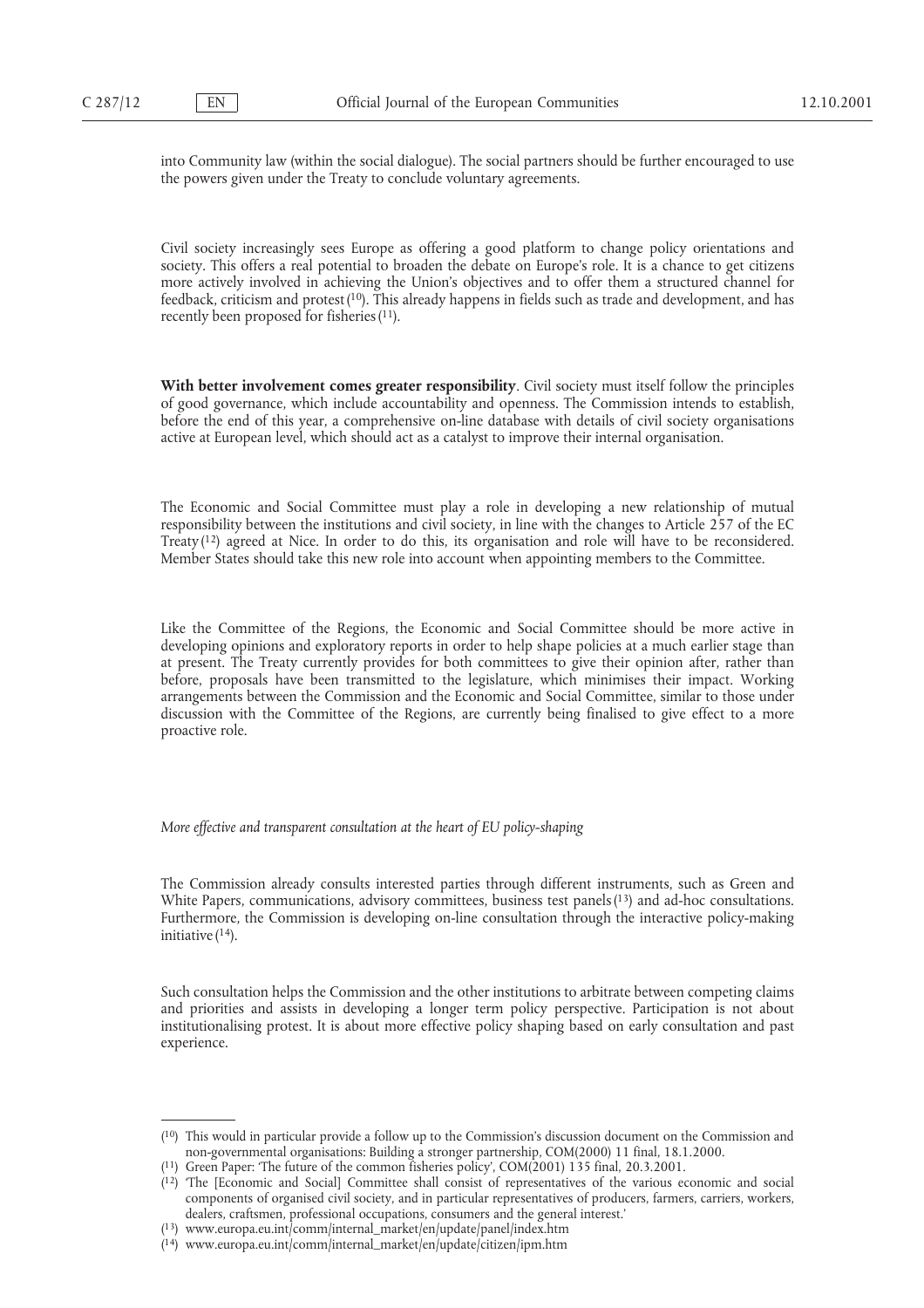into Community law (within the social dialogue). The social partners should be further encouraged to use the powers given under the Treaty to conclude voluntary agreements.

Civil society increasingly sees Europe as offering a good platform to change policy orientations and society. This offers a real potential to broaden the debate on Europe's role. It is a chance to get citizens more actively involved in achieving the Union's objectives and to offer them a structured channel for feedback, criticism and protest(10). This already happens in fields such as trade and development, and has recently been proposed for fisheries<sup>(11)</sup>.

**With better involvement comes greater responsibility**. Civil society must itself follow the principles of good governance, which include accountability and openness. The Commission intends to establish, before the end of this year, a comprehensive on-line database with details of civil society organisations active at European level, which should act as a catalyst to improve their internal organisation.

The Economic and Social Committee must play a role in developing a new relationship of mutual responsibility between the institutions and civil society, in line with the changes to Article 257 of the EC Treaty(12) agreed at Nice. In order to do this, its organisation and role will have to be reconsidered. Member States should take this new role into account when appointing members to the Committee.

Like the Committee of the Regions, the Economic and Social Committee should be more active in developing opinions and exploratory reports in order to help shape policies at a much earlier stage than at present. The Treaty currently provides for both committees to give their opinion after, rather than before, proposals have been transmitted to the legislature, which minimises their impact. Working arrangements between the Commission and the Economic and Social Committee, similar to those under discussion with the Committee of the Regions, are currently being finalised to give effect to a more proactive role.

*More effective and transparent consultation at the heart of EU policy-shaping*

The Commission already consults interested parties through different instruments, such as Green and White Papers, communications, advisory committees, business test panels(13) and ad-hoc consultations. Furthermore, the Commission is developing on-line consultation through the interactive policy-making initiative  $(14)$ .

Such consultation helps the Commission and the other institutions to arbitrate between competing claims and priorities and assists in developing a longer term policy perspective. Participation is not about institutionalising protest. It is about more effective policy shaping based on early consultation and past experience.

<sup>(10)</sup> This would in particular provide a follow up to the Commission's discussion document on the Commission and non-governmental organisations: Building a stronger partnership, COM(2000) 11 final, 18.1.2000.

<sup>(</sup> 11) Green Paper: 'The future of the common fisheries policy', COM(2001) 135 final, 20.3.2001.

<sup>(</sup> 12) 'The [Economic and Social] Committee shall consist of representatives of the various economic and social components of organised civil society, and in particular representatives of producers, farmers, carriers, workers, dealers, craftsmen, professional occupations, consumers and the general interest.'

<sup>(</sup> 13) www.europa.eu.int/comm/internal–market/en/update/panel/index.htm

<sup>(</sup> 14) www.europa.eu.int/comm/internal–market/en/update/citizen/ipm.htm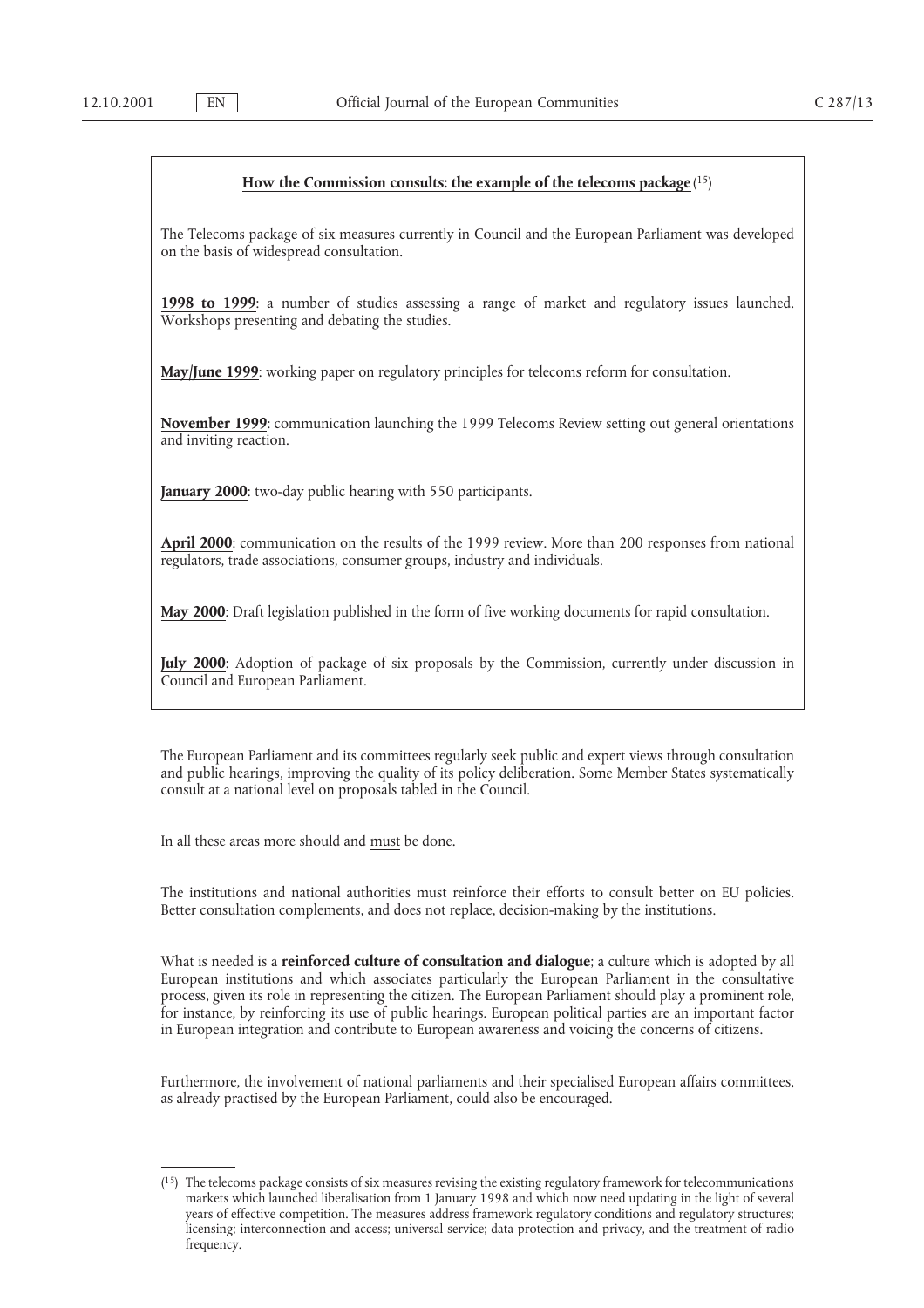#### **How the Commission consults: the example of the telecoms package**(15)

The Telecoms package of six measures currently in Council and the European Parliament was developed on the basis of widespread consultation.

**1998 to 1999**: a number of studies assessing a range of market and regulatory issues launched. Workshops presenting and debating the studies.

**May/June 1999**: working paper on regulatory principles for telecoms reform for consultation.

**November 1999**: communication launching the 1999 Telecoms Review setting out general orientations and inviting reaction.

**January 2000**: two-day public hearing with 550 participants.

**April 2000**: communication on the results of the 1999 review. More than 200 responses from national regulators, trade associations, consumer groups, industry and individuals.

**May 2000**: Draft legislation published in the form of five working documents for rapid consultation.

**July 2000**: Adoption of package of six proposals by the Commission, currently under discussion in Council and European Parliament.

The European Parliament and its committees regularly seek public and expert views through consultation and public hearings, improving the quality of its policy deliberation. Some Member States systematically consult at a national level on proposals tabled in the Council.

In all these areas more should and must be done.

The institutions and national authorities must reinforce their efforts to consult better on EU policies. Better consultation complements, and does not replace, decision-making by the institutions.

What is needed is a **reinforced culture of consultation and dialogue**; a culture which is adopted by all European institutions and which associates particularly the European Parliament in the consultative process, given its role in representing the citizen. The European Parliament should play a prominent role, for instance, by reinforcing its use of public hearings. European political parties are an important factor in European integration and contribute to European awareness and voicing the concerns of citizens.

Furthermore, the involvement of national parliaments and their specialised European affairs committees, as already practised by the European Parliament, could also be encouraged.

<sup>(15)</sup> The telecoms package consists of six measures revising the existing regulatory framework for telecommunications markets which launched liberalisation from 1 January 1998 and which now need updating in the light of several years of effective competition. The measures address framework regulatory conditions and regulatory structures; licensing; interconnection and access; universal service; data protection and privacy, and the treatment of radio frequency.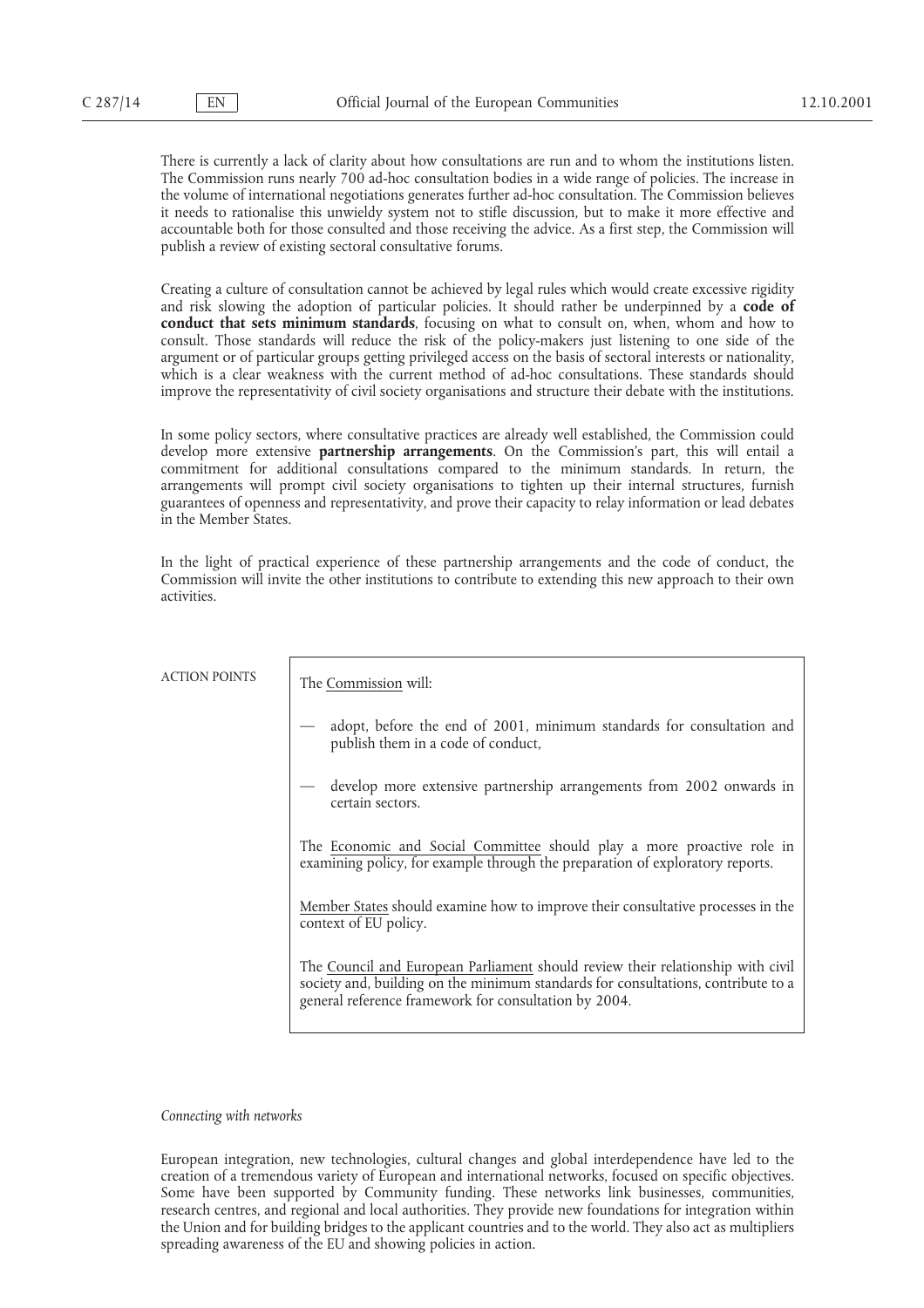There is currently a lack of clarity about how consultations are run and to whom the institutions listen. The Commission runs nearly 700 ad-hoc consultation bodies in a wide range of policies. The increase in the volume of international negotiations generates further ad-hoc consultation. The Commission believes it needs to rationalise this unwieldy system not to stifle discussion, but to make it more effective and accountable both for those consulted and those receiving the advice. As a first step, the Commission will publish a review of existing sectoral consultative forums.

Creating a culture of consultation cannot be achieved by legal rules which would create excessive rigidity and risk slowing the adoption of particular policies. It should rather be underpinned by a **code of conduct that sets minimum standards**, focusing on what to consult on, when, whom and how to consult. Those standards will reduce the risk of the policy-makers just listening to one side of the argument or of particular groups getting privileged access on the basis of sectoral interests or nationality, which is a clear weakness with the current method of ad-hoc consultations. These standards should improve the representativity of civil society organisations and structure their debate with the institutions.

In some policy sectors, where consultative practices are already well established, the Commission could develop more extensive **partnership arrangements**. On the Commission's part, this will entail a commitment for additional consultations compared to the minimum standards. In return, the arrangements will prompt civil society organisations to tighten up their internal structures, furnish guarantees of openness and representativity, and prove their capacity to relay information or lead debates in the Member States.

In the light of practical experience of these partnership arrangements and the code of conduct, the Commission will invite the other institutions to contribute to extending this new approach to their own activities.

| <b>ACTION POINTS</b> | The Commission will:                                                                                                                                                                                                          |
|----------------------|-------------------------------------------------------------------------------------------------------------------------------------------------------------------------------------------------------------------------------|
|                      | adopt, before the end of 2001, minimum standards for consultation and<br>publish them in a code of conduct,                                                                                                                   |
|                      | develop more extensive partnership arrangements from 2002 onwards in<br>certain sectors.                                                                                                                                      |
|                      | The Economic and Social Committee should play a more proactive role in<br>examining policy, for example through the preparation of exploratory reports.                                                                       |
|                      | Member States should examine how to improve their consultative processes in the<br>context of EU policy.                                                                                                                      |
|                      | The Council and European Parliament should review their relationship with civil<br>society and, building on the minimum standards for consultations, contribute to a<br>general reference framework for consultation by 2004. |
|                      |                                                                                                                                                                                                                               |

*Connecting with networks*

European integration, new technologies, cultural changes and global interdependence have led to the creation of a tremendous variety of European and international networks, focused on specific objectives. Some have been supported by Community funding. These networks link businesses, communities, research centres, and regional and local authorities. They provide new foundations for integration within the Union and for building bridges to the applicant countries and to the world. They also act as multipliers spreading awareness of the EU and showing policies in action.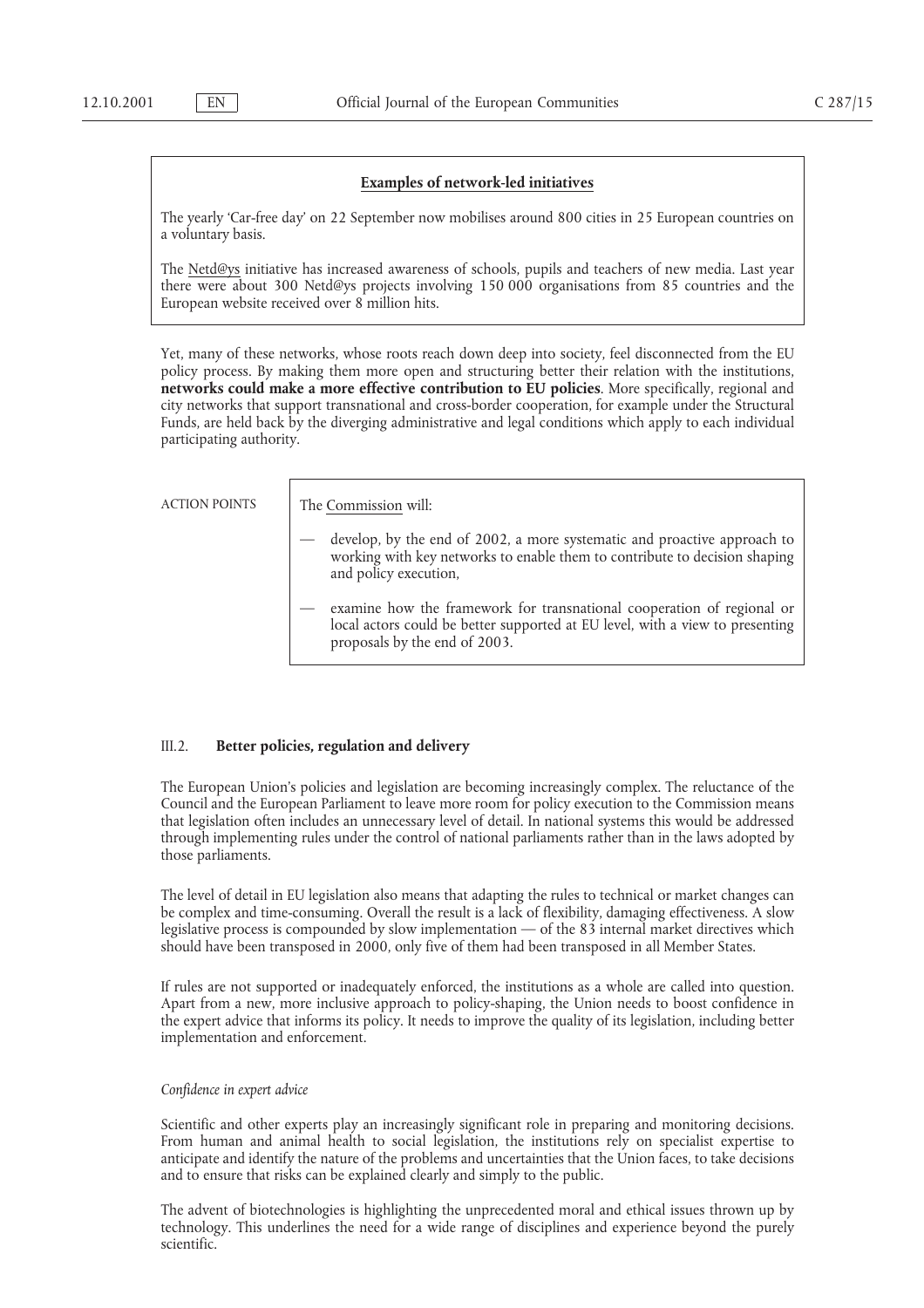#### **Examples of network-led initiatives**

The yearly 'Car-free day' on 22 September now mobilises around 800 cities in 25 European countries on a voluntary basis.

The Netd@ys initiative has increased awareness of schools, pupils and teachers of new media. Last year there were about 300 Netd@ys projects involving 150 000 organisations from 85 countries and the European website received over 8 million hits.

Yet, many of these networks, whose roots reach down deep into society, feel disconnected from the EU policy process. By making them more open and structuring better their relation with the institutions, **networks could make a more effective contribution to EU policies**. More specifically, regional and city networks that support transnational and cross-border cooperation, for example under the Structural Funds, are held back by the diverging administrative and legal conditions which apply to each individual participating authority.

ACTION POINTS The Commission will:

- develop, by the end of 2002, a more systematic and proactive approach to working with key networks to enable them to contribute to decision shaping and policy execution,
- examine how the framework for transnational cooperation of regional or local actors could be better supported at EU level, with a view to presenting proposals by the end of 2003.

#### III.2. **Better policies, regulation and delivery**

The European Union's policies and legislation are becoming increasingly complex. The reluctance of the Council and the European Parliament to leave more room for policy execution to the Commission means that legislation often includes an unnecessary level of detail. In national systems this would be addressed through implementing rules under the control of national parliaments rather than in the laws adopted by those parliaments.

The level of detail in EU legislation also means that adapting the rules to technical or market changes can be complex and time-consuming. Overall the result is a lack of flexibility, damaging effectiveness. A slow legislative process is compounded by slow implementation — of the 83 internal market directives which should have been transposed in 2000, only five of them had been transposed in all Member States.

If rules are not supported or inadequately enforced, the institutions as a whole are called into question. Apart from a new, more inclusive approach to policy-shaping, the Union needs to boost confidence in the expert advice that informs its policy. It needs to improve the quality of its legislation, including better implementation and enforcement.

# *Confidence in expert advice*

Scientific and other experts play an increasingly significant role in preparing and monitoring decisions. From human and animal health to social legislation, the institutions rely on specialist expertise to anticipate and identify the nature of the problems and uncertainties that the Union faces, to take decisions and to ensure that risks can be explained clearly and simply to the public.

The advent of biotechnologies is highlighting the unprecedented moral and ethical issues thrown up by technology. This underlines the need for a wide range of disciplines and experience beyond the purely scientific.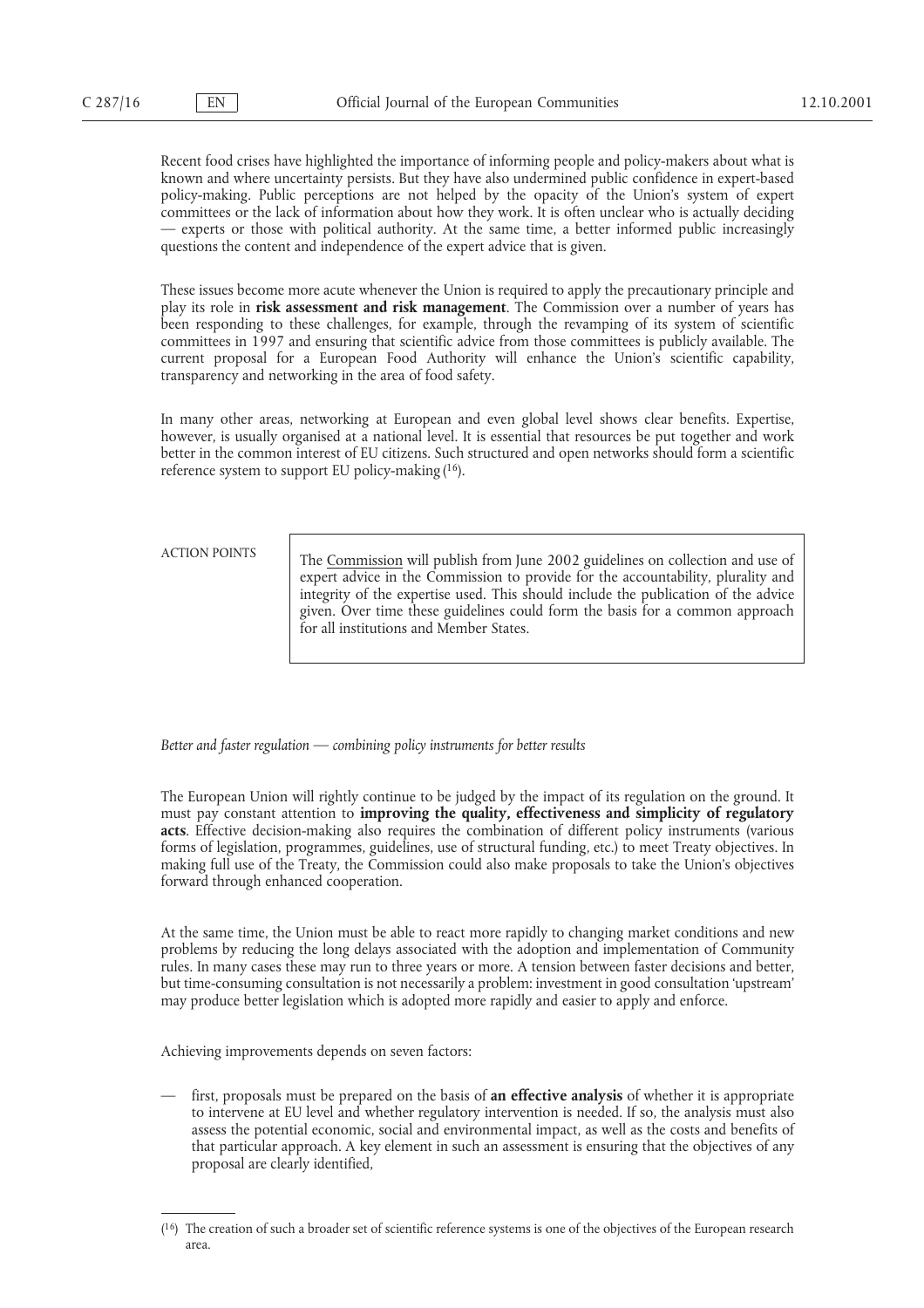Recent food crises have highlighted the importance of informing people and policy-makers about what is known and where uncertainty persists. But they have also undermined public confidence in expert-based policy-making. Public perceptions are not helped by the opacity of the Union's system of expert committees or the lack of information about how they work. It is often unclear who is actually deciding — experts or those with political authority. At the same time, a better informed public increasingly questions the content and independence of the expert advice that is given.

These issues become more acute whenever the Union is required to apply the precautionary principle and play its role in **risk assessment and risk management**. The Commission over a number of years has been responding to these challenges, for example, through the revamping of its system of scientific committees in 1997 and ensuring that scientific advice from those committees is publicly available. The current proposal for a European Food Authority will enhance the Union's scientific capability, transparency and networking in the area of food safety.

In many other areas, networking at European and even global level shows clear benefits. Expertise, however, is usually organised at a national level. It is essential that resources be put together and work better in the common interest of EU citizens. Such structured and open networks should form a scientific reference system to support EU policy-making(16).

ACTION POINTS The Commission will publish from June 2002 guidelines on collection and use of expert advice in the Commission to provide for the accountability, plurality and integrity of the expertise used. This should include the publication of the advice given. Over time these guidelines could form the basis for a common approach for all institutions and Member States.

*Better and faster regulation — combining policy instruments for better results*

The European Union will rightly continue to be judged by the impact of its regulation on the ground. It must pay constant attention to **improving the quality, effectiveness and simplicity of regulatory acts**. Effective decision-making also requires the combination of different policy instruments (various forms of legislation, programmes, guidelines, use of structural funding, etc.) to meet Treaty objectives. In making full use of the Treaty, the Commission could also make proposals to take the Union's objectives forward through enhanced cooperation.

At the same time, the Union must be able to react more rapidly to changing market conditions and new problems by reducing the long delays associated with the adoption and implementation of Community rules. In many cases these may run to three years or more. A tension between faster decisions and better, but time-consuming consultation is not necessarily a problem: investment in good consultation 'upstream' may produce better legislation which is adopted more rapidly and easier to apply and enforce.

Achieving improvements depends on seven factors:

— first, proposals must be prepared on the basis of **an effective analysis** of whether it is appropriate to intervene at EU level and whether regulatory intervention is needed. If so, the analysis must also assess the potential economic, social and environmental impact, as well as the costs and benefits of that particular approach. A key element in such an assessment is ensuring that the objectives of any proposal are clearly identified,

<sup>(16)</sup> The creation of such a broader set of scientific reference systems is one of the objectives of the European research area.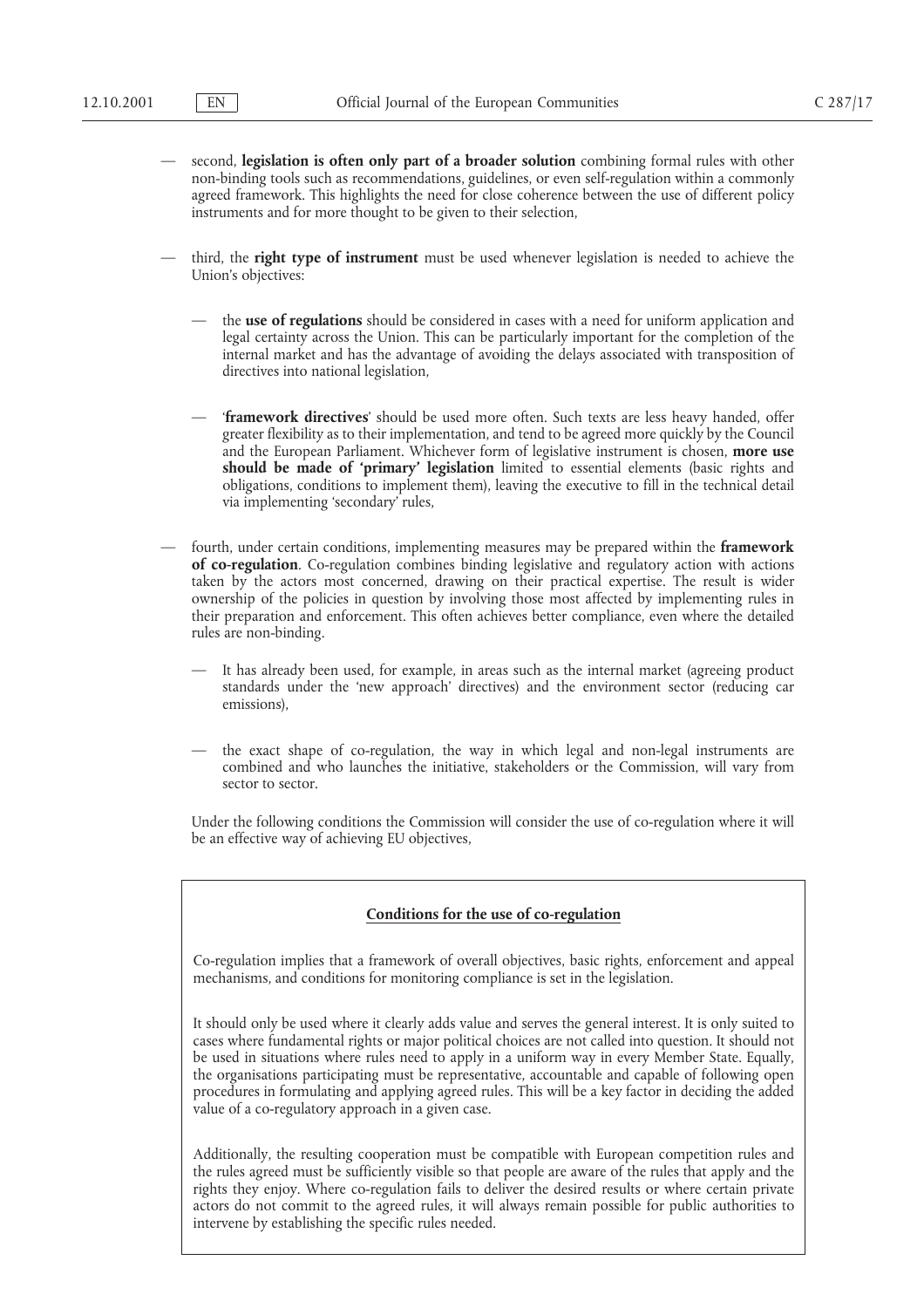- second, **legislation is often only part of a broader solution** combining formal rules with other non-binding tools such as recommendations, guidelines, or even self-regulation within a commonly agreed framework. This highlights the need for close coherence between the use of different policy instruments and for more thought to be given to their selection,
- third, the **right type of instrument** must be used whenever legislation is needed to achieve the Union's objectives:
	- the **use of regulations** should be considered in cases with a need for uniform application and legal certainty across the Union. This can be particularly important for the completion of the internal market and has the advantage of avoiding the delays associated with transposition of directives into national legislation,
	- '**framework directives**' should be used more often. Such texts are less heavy handed, offer greater flexibility as to their implementation, and tend to be agreed more quickly by the Council and the European Parliament. Whichever form of legislative instrument is chosen, **more use** should be made of 'primary' legislation limited to essential elements (basic rights and obligations, conditions to implement them), leaving the executive to fill in the technical detail via implementing 'secondary' rules,
- fourth, under certain conditions, implementing measures may be prepared within the **framework of co-regulation**. Co-regulation combines binding legislative and regulatory action with actions taken by the actors most concerned, drawing on their practical expertise. The result is wider ownership of the policies in question by involving those most affected by implementing rules in their preparation and enforcement. This often achieves better compliance, even where the detailed rules are non-binding.
	- It has already been used, for example, in areas such as the internal market (agreeing product standards under the 'new approach' directives) and the environment sector (reducing car emissions),
	- the exact shape of co-regulation, the way in which legal and non-legal instruments are combined and who launches the initiative, stakeholders or the Commission, will vary from sector to sector.

Under the following conditions the Commission will consider the use of co-regulation where it will be an effective way of achieving EU objectives,

#### **Conditions for the use of co-regulation**

Co-regulation implies that a framework of overall objectives, basic rights, enforcement and appeal mechanisms, and conditions for monitoring compliance is set in the legislation.

It should only be used where it clearly adds value and serves the general interest. It is only suited to cases where fundamental rights or major political choices are not called into question. It should not be used in situations where rules need to apply in a uniform way in every Member State. Equally, the organisations participating must be representative, accountable and capable of following open procedures in formulating and applying agreed rules. This will be a key factor in deciding the added value of a co-regulatory approach in a given case.

Additionally, the resulting cooperation must be compatible with European competition rules and the rules agreed must be sufficiently visible so that people are aware of the rules that apply and the rights they enjoy. Where co-regulation fails to deliver the desired results or where certain private actors do not commit to the agreed rules, it will always remain possible for public authorities to intervene by establishing the specific rules needed.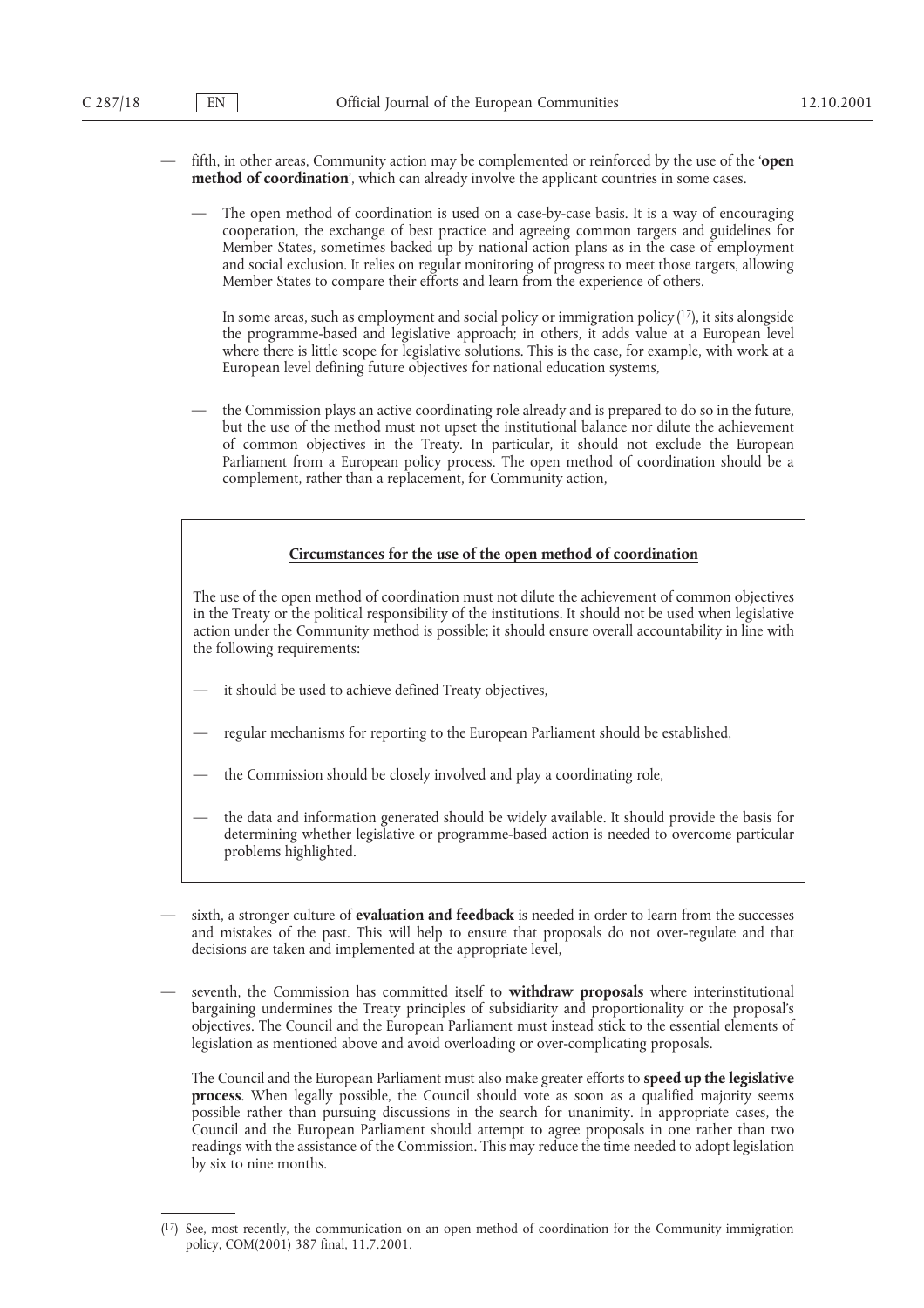- fifth, in other areas, Community action may be complemented or reinforced by the use of the '**open method of coordination**', which can already involve the applicant countries in some cases.
	- The open method of coordination is used on a case-by-case basis. It is a way of encouraging cooperation, the exchange of best practice and agreeing common targets and guidelines for Member States, sometimes backed up by national action plans as in the case of employment and social exclusion. It relies on regular monitoring of progress to meet those targets, allowing Member States to compare their efforts and learn from the experience of others.

In some areas, such as employment and social policy or immigration policy $(17)$ , it sits alongside the programme-based and legislative approach; in others, it adds value at a European level where there is little scope for legislative solutions. This is the case, for example, with work at a European level defining future objectives for national education systems,

— the Commission plays an active coordinating role already and is prepared to do so in the future, but the use of the method must not upset the institutional balance nor dilute the achievement of common objectives in the Treaty. In particular, it should not exclude the European Parliament from a European policy process. The open method of coordination should be a complement, rather than a replacement, for Community action,

# **Circumstances for the use of the open method of coordination**

The use of the open method of coordination must not dilute the achievement of common objectives in the Treaty or the political responsibility of the institutions. It should not be used when legislative action under the Community method is possible; it should ensure overall accountability in line with the following requirements:

- it should be used to achieve defined Treaty objectives,
- regular mechanisms for reporting to the European Parliament should be established,
- the Commission should be closely involved and play a coordinating role,
- the data and information generated should be widely available. It should provide the basis for determining whether legislative or programme-based action is needed to overcome particular problems highlighted.
- sixth, a stronger culture of **evaluation and feedback** is needed in order to learn from the successes and mistakes of the past. This will help to ensure that proposals do not over-regulate and that decisions are taken and implemented at the appropriate level,
- seventh, the Commission has committed itself to **withdraw proposals** where interinstitutional bargaining undermines the Treaty principles of subsidiarity and proportionality or the proposal's objectives. The Council and the European Parliament must instead stick to the essential elements of legislation as mentioned above and avoid overloading or over-complicating proposals.

The Council and the European Parliament must also make greater efforts to **speed up the legislative process**. When legally possible, the Council should vote as soon as a qualified majority seems possible rather than pursuing discussions in the search for unanimity. In appropriate cases, the Council and the European Parliament should attempt to agree proposals in one rather than two readings with the assistance of the Commission. This may reduce the time needed to adopt legislation by six to nine months.

<sup>(17)</sup> See, most recently, the communication on an open method of coordination for the Community immigration policy, COM(2001) 387 final, 11.7.2001.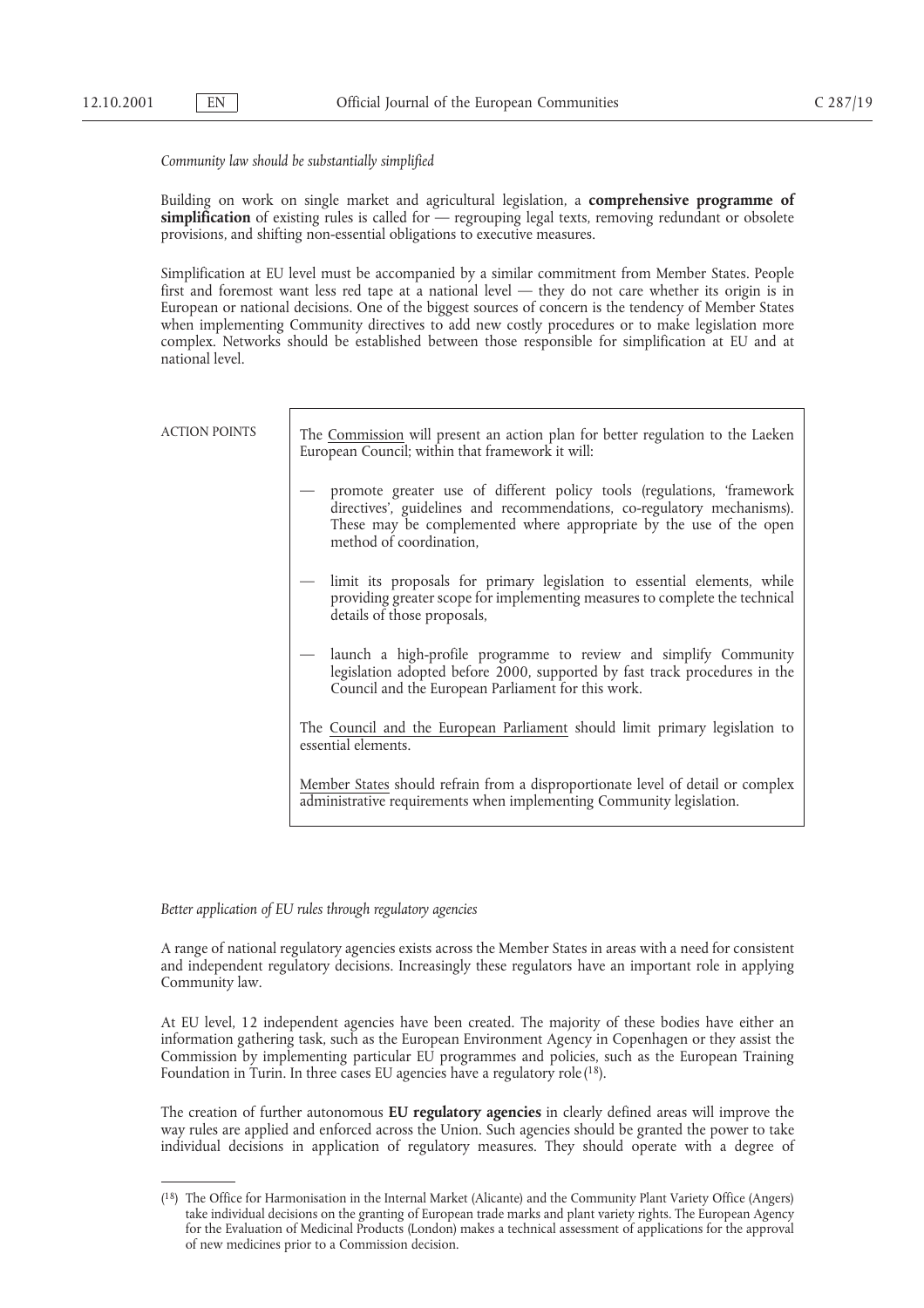*Community law should be substantially simplified*

Building on work on single market and agricultural legislation, a **comprehensive programme of simplification** of existing rules is called for — regrouping legal texts, removing redundant or obsolete provisions, and shifting non-essential obligations to executive measures.

Simplification at EU level must be accompanied by a similar commitment from Member States. People first and foremost want less red tape at a national level — they do not care whether its origin is in European or national decisions. One of the biggest sources of concern is the tendency of Member States when implementing Community directives to add new costly procedures or to make legislation more complex. Networks should be established between those responsible for simplification at EU and at national level.

| <b>ACTION POINTS</b> | The Commission will present an action plan for better regulation to the Laeken<br>European Council; within that framework it will:                                                                                                                 |
|----------------------|----------------------------------------------------------------------------------------------------------------------------------------------------------------------------------------------------------------------------------------------------|
|                      | promote greater use of different policy tools (regulations, 'framework<br>directives', guidelines and recommendations, co-regulatory mechanisms).<br>These may be complemented where appropriate by the use of the open<br>method of coordination, |
|                      | — limit its proposals for primary legislation to essential elements, while<br>providing greater scope for implementing measures to complete the technical<br>details of those proposals,                                                           |
|                      | — launch a high-profile programme to review and simplify Community<br>legislation adopted before 2000, supported by fast track procedures in the<br>Council and the European Parliament for this work.                                             |
|                      | The Council and the European Parliament should limit primary legislation to<br>essential elements.                                                                                                                                                 |
|                      | Member States should refrain from a disproportionate level of detail or complex<br>administrative requirements when implementing Community legislation.                                                                                            |

*Better application of EU rules through regulatory agencies*

A range of national regulatory agencies exists across the Member States in areas with a need for consistent and independent regulatory decisions. Increasingly these regulators have an important role in applying Community law.

At EU level, 12 independent agencies have been created. The majority of these bodies have either an information gathering task, such as the European Environment Agency in Copenhagen or they assist the Commission by implementing particular EU programmes and policies, such as the European Training Foundation in Turin. In three cases EU agencies have a regulatory role (<sup>18</sup>).

The creation of further autonomous **EU regulatory agencies** in clearly defined areas will improve the way rules are applied and enforced across the Union. Such agencies should be granted the power to take individual decisions in application of regulatory measures. They should operate with a degree of

<sup>(18)</sup> The Office for Harmonisation in the Internal Market (Alicante) and the Community Plant Variety Office (Angers) take individual decisions on the granting of European trade marks and plant variety rights. The European Agency for the Evaluation of Medicinal Products (London) makes a technical assessment of applications for the approval of new medicines prior to a Commission decision.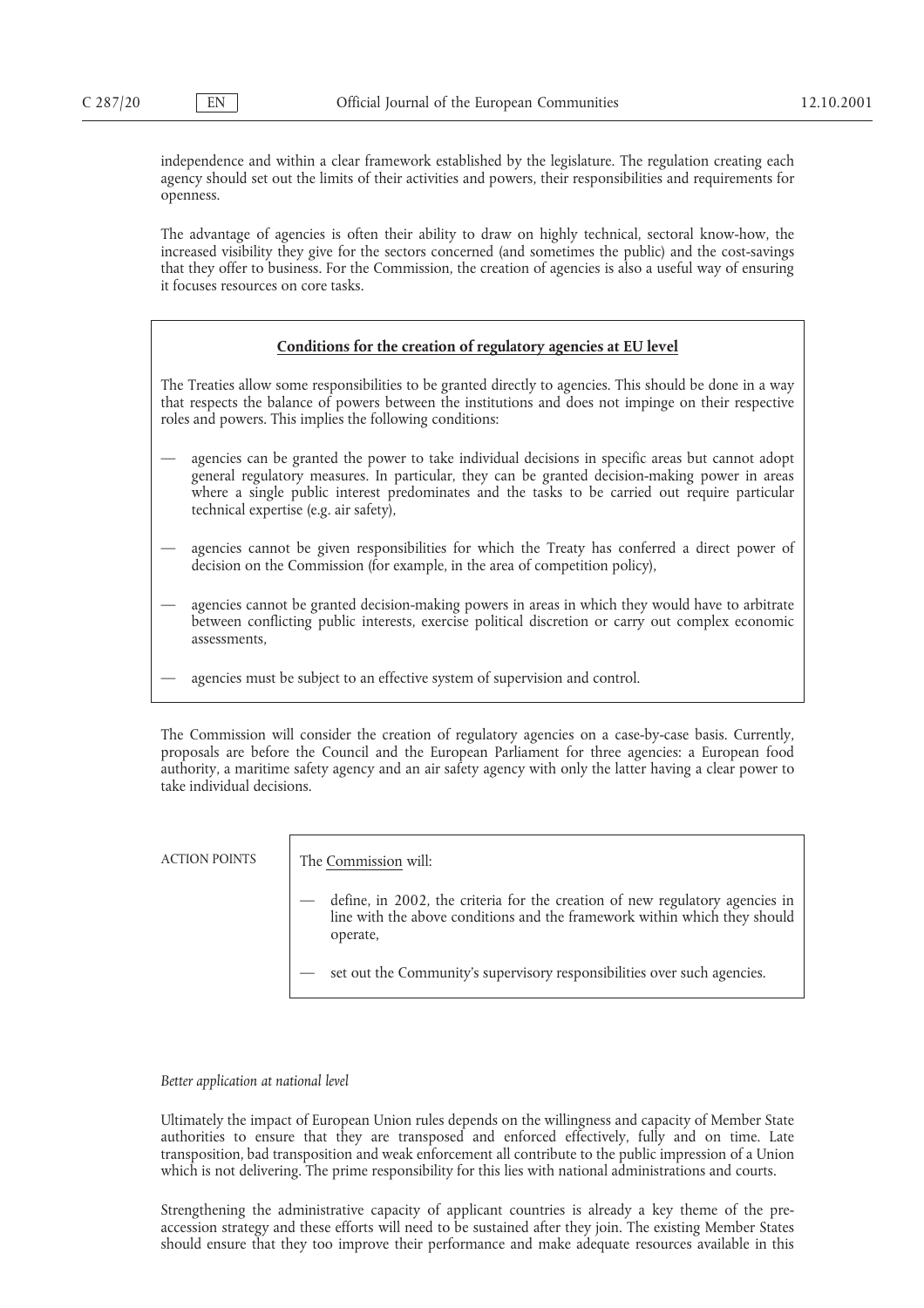independence and within a clear framework established by the legislature. The regulation creating each agency should set out the limits of their activities and powers, their responsibilities and requirements for openness.

The advantage of agencies is often their ability to draw on highly technical, sectoral know-how, the increased visibility they give for the sectors concerned (and sometimes the public) and the cost-savings that they offer to business. For the Commission, the creation of agencies is also a useful way of ensuring it focuses resources on core tasks.

# **Conditions for the creation of regulatory agencies at EU level**

The Treaties allow some responsibilities to be granted directly to agencies. This should be done in a way that respects the balance of powers between the institutions and does not impinge on their respective roles and powers. This implies the following conditions:

- agencies can be granted the power to take individual decisions in specific areas but cannot adopt general regulatory measures. In particular, they can be granted decision-making power in areas where a single public interest predominates and the tasks to be carried out require particular technical expertise (e.g. air safety),
- agencies cannot be given responsibilities for which the Treaty has conferred a direct power of decision on the Commission (for example, in the area of competition policy),
- agencies cannot be granted decision-making powers in areas in which they would have to arbitrate between conflicting public interests, exercise political discretion or carry out complex economic assessments,
	- agencies must be subject to an effective system of supervision and control.

The Commission will consider the creation of regulatory agencies on a case-by-case basis. Currently, proposals are before the Council and the European Parliament for three agencies: a European food authority, a maritime safety agency and an air safety agency with only the latter having a clear power to take individual decisions.

ACTION POINTS The Commission will:

- define, in 2002, the criteria for the creation of new regulatory agencies in line with the above conditions and the framework within which they should operate,
- set out the Community's supervisory responsibilities over such agencies.

*Better application at national level*

Ultimately the impact of European Union rules depends on the willingness and capacity of Member State authorities to ensure that they are transposed and enforced effectively, fully and on time. Late transposition, bad transposition and weak enforcement all contribute to the public impression of a Union which is not delivering. The prime responsibility for this lies with national administrations and courts.

Strengthening the administrative capacity of applicant countries is already a key theme of the preaccession strategy and these efforts will need to be sustained after they join. The existing Member States should ensure that they too improve their performance and make adequate resources available in this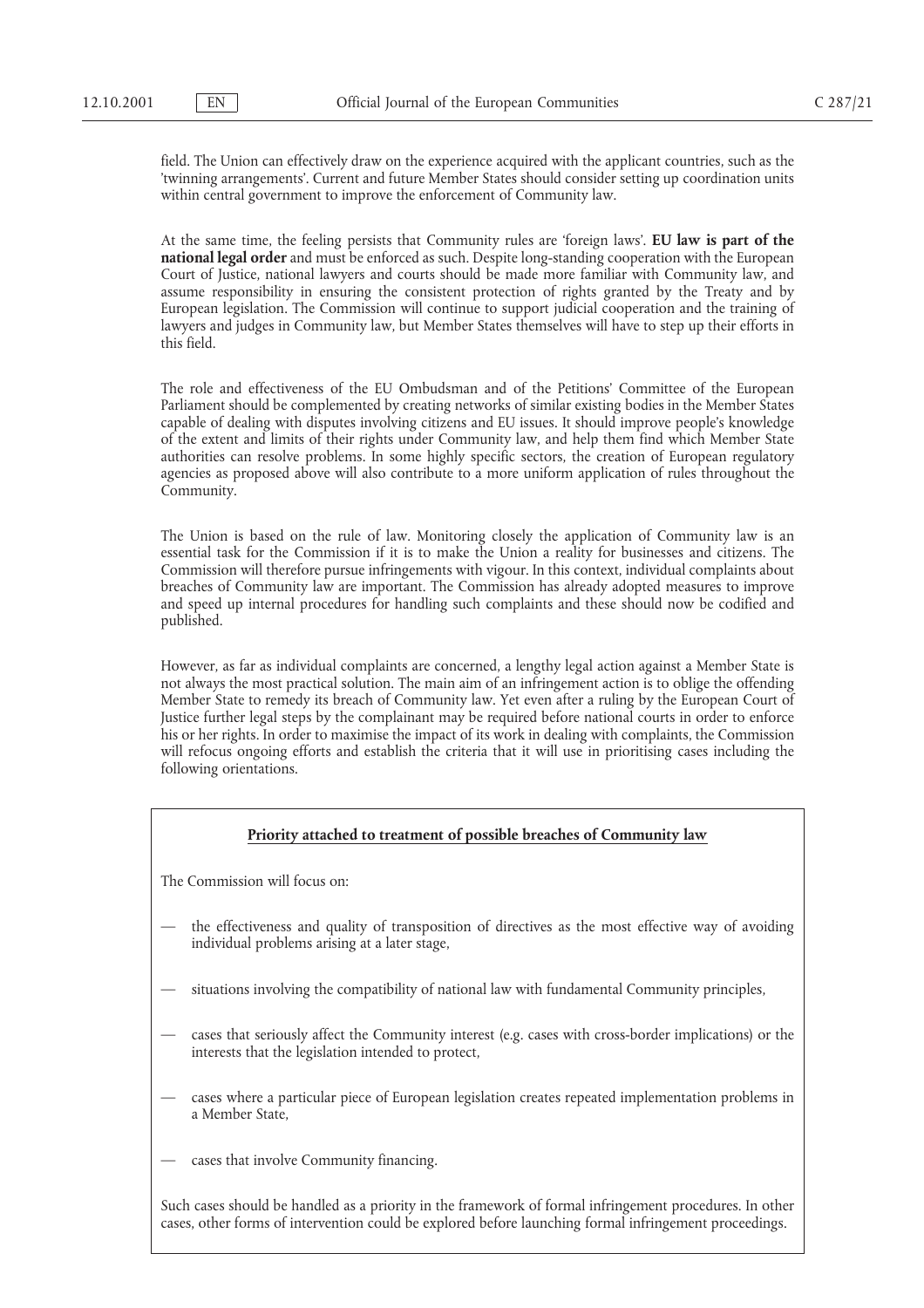field. The Union can effectively draw on the experience acquired with the applicant countries, such as the 'twinning arrangements'. Current and future Member States should consider setting up coordination units within central government to improve the enforcement of Community law.

At the same time, the feeling persists that Community rules are 'foreign laws'. **EU law is part of the national legal order** and must be enforced as such. Despite long-standing cooperation with the European Court of Justice, national lawyers and courts should be made more familiar with Community law, and assume responsibility in ensuring the consistent protection of rights granted by the Treaty and by European legislation. The Commission will continue to support judicial cooperation and the training of lawyers and judges in Community law, but Member States themselves will have to step up their efforts in this field.

The role and effectiveness of the EU Ombudsman and of the Petitions' Committee of the European Parliament should be complemented by creating networks of similar existing bodies in the Member States capable of dealing with disputes involving citizens and EU issues. It should improve people's knowledge of the extent and limits of their rights under Community law, and help them find which Member State authorities can resolve problems. In some highly specific sectors, the creation of European regulatory agencies as proposed above will also contribute to a more uniform application of rules throughout the Community.

The Union is based on the rule of law. Monitoring closely the application of Community law is an essential task for the Commission if it is to make the Union a reality for businesses and citizens. The Commission will therefore pursue infringements with vigour. In this context, individual complaints about breaches of Community law are important. The Commission has already adopted measures to improve and speed up internal procedures for handling such complaints and these should now be codified and published.

However, as far as individual complaints are concerned, a lengthy legal action against a Member State is not always the most practical solution. The main aim of an infringement action is to oblige the offending Member State to remedy its breach of Community law. Yet even after a ruling by the European Court of Justice further legal steps by the complainant may be required before national courts in order to enforce his or her rights. In order to maximise the impact of its work in dealing with complaints, the Commission will refocus ongoing efforts and establish the criteria that it will use in prioritising cases including the following orientations.

# **Priority attached to treatment of possible breaches of Community law**

The Commission will focus on:

- the effectiveness and quality of transposition of directives as the most effective way of avoiding individual problems arising at a later stage,
- situations involving the compatibility of national law with fundamental Community principles,
- cases that seriously affect the Community interest (e.g. cases with cross-border implications) or the interests that the legislation intended to protect,
- cases where a particular piece of European legislation creates repeated implementation problems in a Member State,
- cases that involve Community financing.

Such cases should be handled as a priority in the framework of formal infringement procedures. In other cases, other forms of intervention could be explored before launching formal infringement proceedings.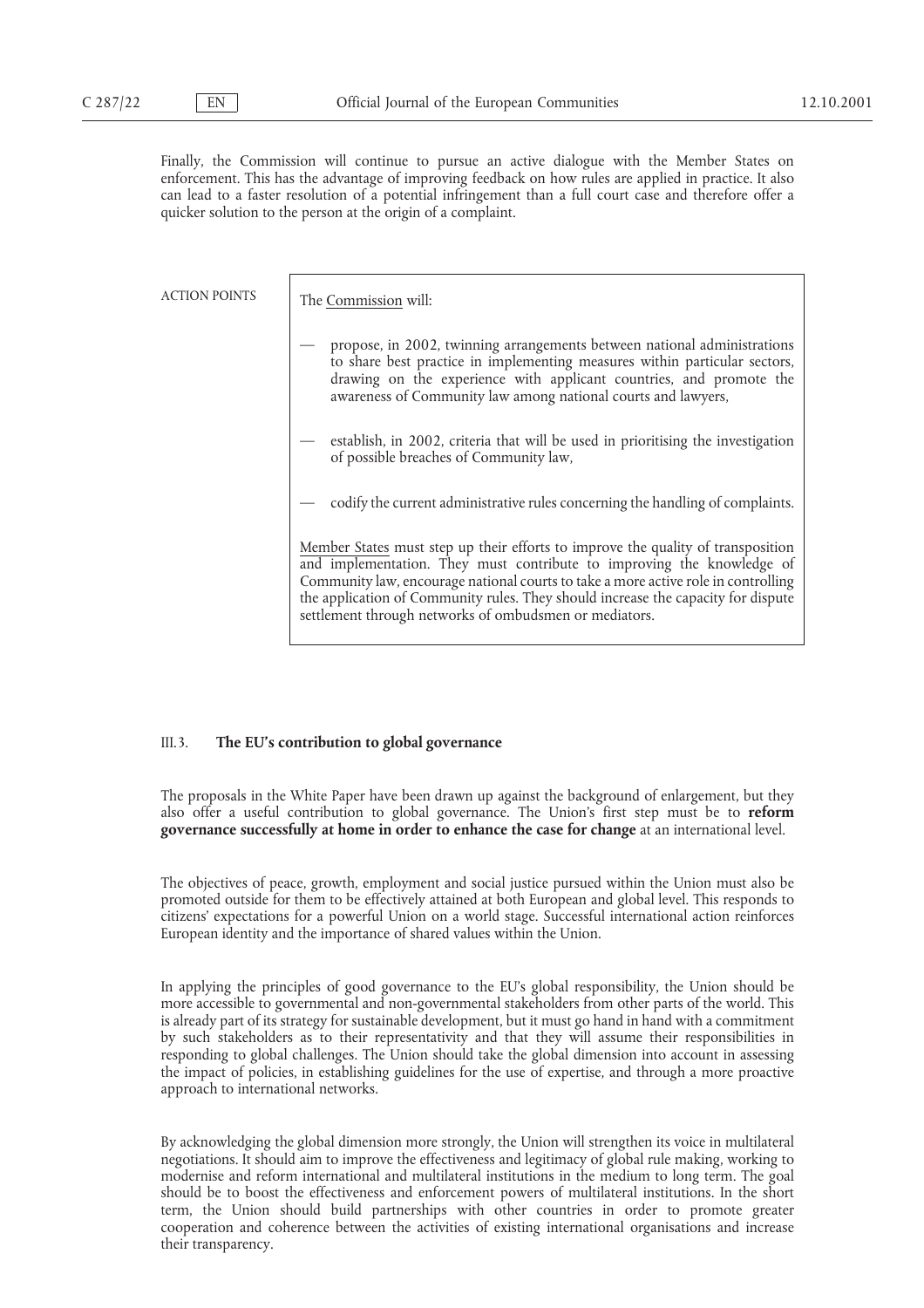Finally, the Commission will continue to pursue an active dialogue with the Member States on enforcement. This has the advantage of improving feedback on how rules are applied in practice. It also can lead to a faster resolution of a potential infringement than a full court case and therefore offer a quicker solution to the person at the origin of a complaint.

ACTION POINTS The Commission will:

- propose, in 2002, twinning arrangements between national administrations to share best practice in implementing measures within particular sectors, drawing on the experience with applicant countries, and promote the awareness of Community law among national courts and lawyers,
- establish, in 2002, criteria that will be used in prioritising the investigation of possible breaches of Community law,
- codify the current administrative rules concerning the handling of complaints.

Member States must step up their efforts to improve the quality of transposition and implementation. They must contribute to improving the knowledge of Community law, encourage national courts to take a more active role in controlling the application of Community rules. They should increase the capacity for dispute settlement through networks of ombudsmen or mediators.

# III.3. **The EU's contribution to global governance**

The proposals in the White Paper have been drawn up against the background of enlargement, but they also offer a useful contribution to global governance. The Union's first step must be to **reform governance successfully at home in order to enhance the case for change** at an international level.

The objectives of peace, growth, employment and social justice pursued within the Union must also be promoted outside for them to be effectively attained at both European and global level. This responds to citizens' expectations for a powerful Union on a world stage. Successful international action reinforces European identity and the importance of shared values within the Union.

In applying the principles of good governance to the EU's global responsibility, the Union should be more accessible to governmental and non-governmental stakeholders from other parts of the world. This is already part of its strategy for sustainable development, but it must go hand in hand with a commitment by such stakeholders as to their representativity and that they will assume their responsibilities in responding to global challenges. The Union should take the global dimension into account in assessing the impact of policies, in establishing guidelines for the use of expertise, and through a more proactive approach to international networks.

By acknowledging the global dimension more strongly, the Union will strengthen its voice in multilateral negotiations. It should aim to improve the effectiveness and legitimacy of global rule making, working to modernise and reform international and multilateral institutions in the medium to long term. The goal should be to boost the effectiveness and enforcement powers of multilateral institutions. In the short term, the Union should build partnerships with other countries in order to promote greater cooperation and coherence between the activities of existing international organisations and increase their transparency.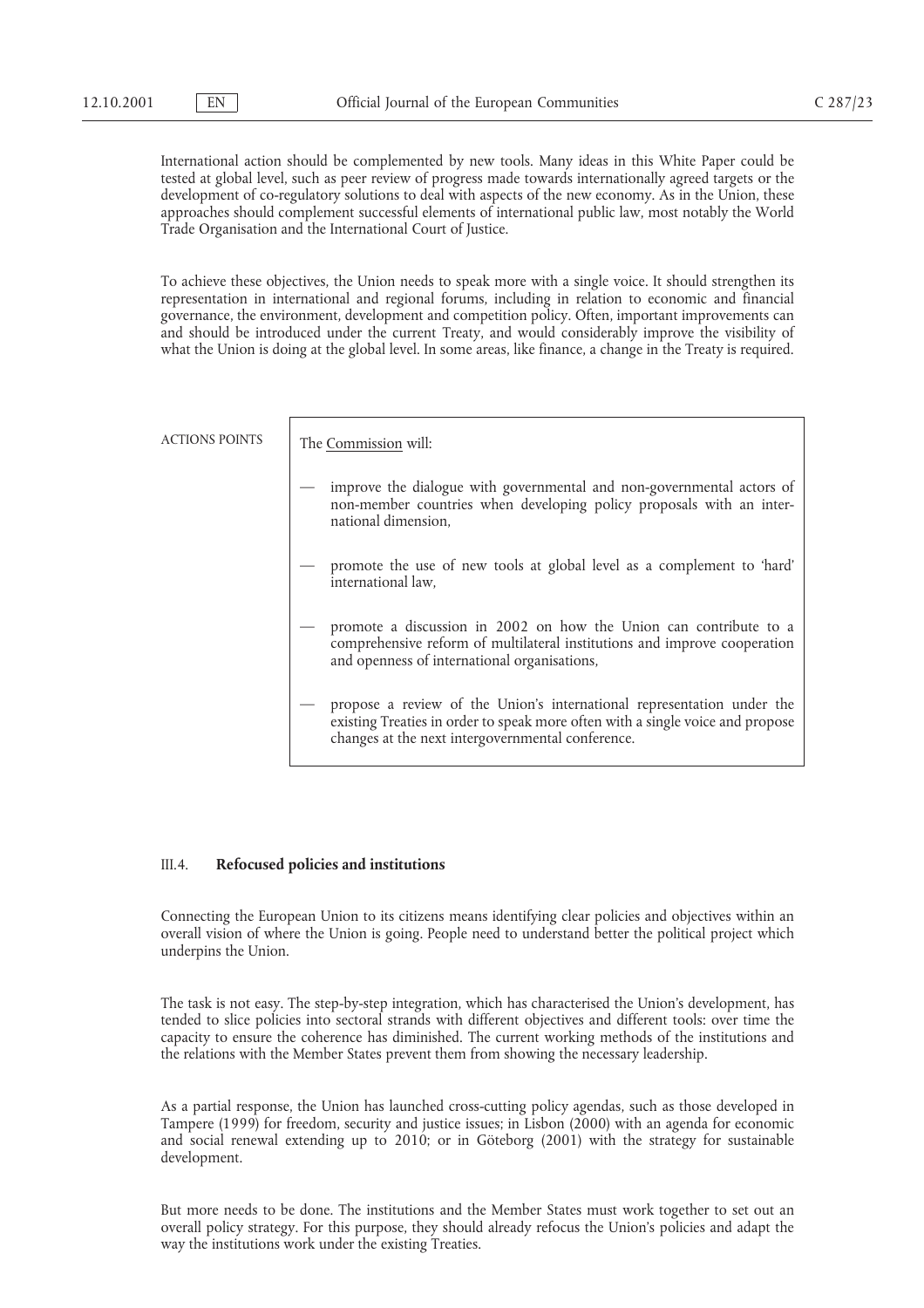International action should be complemented by new tools. Many ideas in this White Paper could be tested at global level, such as peer review of progress made towards internationally agreed targets or the development of co-regulatory solutions to deal with aspects of the new economy. As in the Union, these approaches should complement successful elements of international public law, most notably the World Trade Organisation and the International Court of Justice.

To achieve these objectives, the Union needs to speak more with a single voice. It should strengthen its representation in international and regional forums, including in relation to economic and financial governance, the environment, development and competition policy. Often, important improvements can and should be introduced under the current Treaty, and would considerably improve the visibility of what the Union is doing at the global level. In some areas, like finance, a change in the Treaty is required.

| <b>ACTIONS POINTS</b> | The Commission will:                                                                                                                                                                                          |
|-----------------------|---------------------------------------------------------------------------------------------------------------------------------------------------------------------------------------------------------------|
|                       | improve the dialogue with governmental and non-governmental actors of<br>non-member countries when developing policy proposals with an inter-<br>national dimension,                                          |
|                       | promote the use of new tools at global level as a complement to 'hard'<br>international law,                                                                                                                  |
|                       | promote a discussion in 2002 on how the Union can contribute to a<br>comprehensive reform of multilateral institutions and improve cooperation<br>and openness of international organisations,                |
|                       | propose a review of the Union's international representation under the<br>existing Treaties in order to speak more often with a single voice and propose<br>changes at the next intergovernmental conference. |

#### III.4. **Refocused policies and institutions**

Connecting the European Union to its citizens means identifying clear policies and objectives within an overall vision of where the Union is going. People need to understand better the political project which underpins the Union.

The task is not easy. The step-by-step integration, which has characterised the Union's development, has tended to slice policies into sectoral strands with different objectives and different tools: over time the capacity to ensure the coherence has diminished. The current working methods of the institutions and the relations with the Member States prevent them from showing the necessary leadership.

As a partial response, the Union has launched cross-cutting policy agendas, such as those developed in Tampere (1999) for freedom, security and justice issues; in Lisbon (2000) with an agenda for economic and social renewal extending up to 2010; or in Göteborg (2001) with the strategy for sustainable development.

But more needs to be done. The institutions and the Member States must work together to set out an overall policy strategy. For this purpose, they should already refocus the Union's policies and adapt the way the institutions work under the existing Treaties.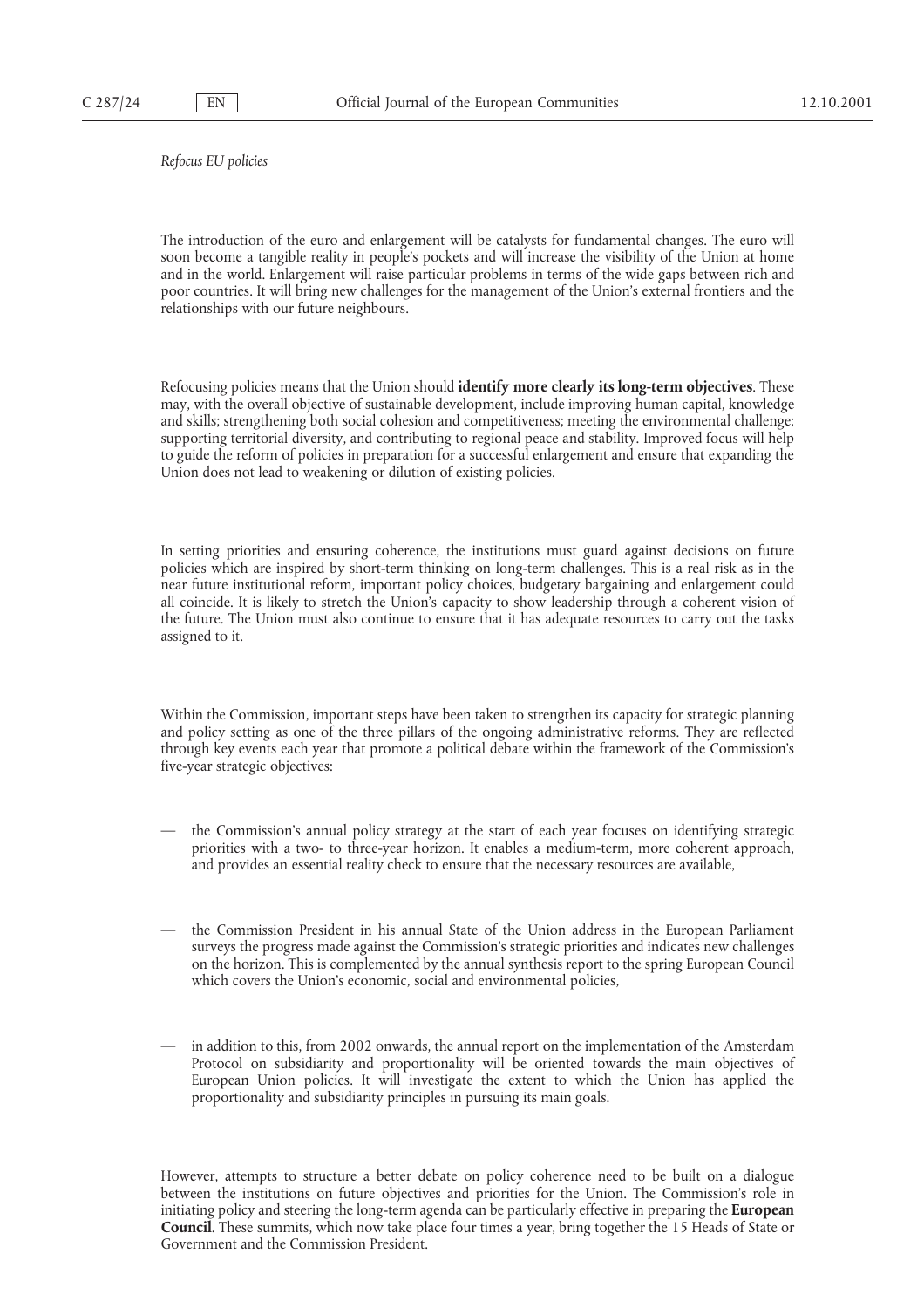*Refocus EU policies*

The introduction of the euro and enlargement will be catalysts for fundamental changes. The euro will soon become a tangible reality in people's pockets and will increase the visibility of the Union at home and in the world. Enlargement will raise particular problems in terms of the wide gaps between rich and poor countries. It will bring new challenges for the management of the Union's external frontiers and the relationships with our future neighbours.

Refocusing policies means that the Union should **identify more clearly its long-term objectives**. These may, with the overall objective of sustainable development, include improving human capital, knowledge and skills; strengthening both social cohesion and competitiveness; meeting the environmental challenge; supporting territorial diversity, and contributing to regional peace and stability. Improved focus will help to guide the reform of policies in preparation for a successful enlargement and ensure that expanding the Union does not lead to weakening or dilution of existing policies.

In setting priorities and ensuring coherence, the institutions must guard against decisions on future policies which are inspired by short-term thinking on long-term challenges. This is a real risk as in the near future institutional reform, important policy choices, budgetary bargaining and enlargement could all coincide. It is likely to stretch the Union's capacity to show leadership through a coherent vision of the future. The Union must also continue to ensure that it has adequate resources to carry out the tasks assigned to it.

Within the Commission, important steps have been taken to strengthen its capacity for strategic planning and policy setting as one of the three pillars of the ongoing administrative reforms. They are reflected through key events each year that promote a political debate within the framework of the Commission's five-year strategic objectives:

- the Commission's annual policy strategy at the start of each year focuses on identifying strategic priorities with a two- to three-year horizon. It enables a medium-term, more coherent approach, and provides an essential reality check to ensure that the necessary resources are available,
- the Commission President in his annual State of the Union address in the European Parliament surveys the progress made against the Commission's strategic priorities and indicates new challenges on the horizon. This is complemented by the annual synthesis report to the spring European Council which covers the Union's economic, social and environmental policies,
- in addition to this, from 2002 onwards, the annual report on the implementation of the Amsterdam Protocol on subsidiarity and proportionality will be oriented towards the main objectives of European Union policies. It will investigate the extent to which the Union has applied the proportionality and subsidiarity principles in pursuing its main goals.

However, attempts to structure a better debate on policy coherence need to be built on a dialogue between the institutions on future objectives and priorities for the Union. The Commission's role in initiating policy and steering the long-term agenda can be particularly effective in preparing the **European Council**. These summits, which now take place four times a year, bring together the 15 Heads of State or Government and the Commission President.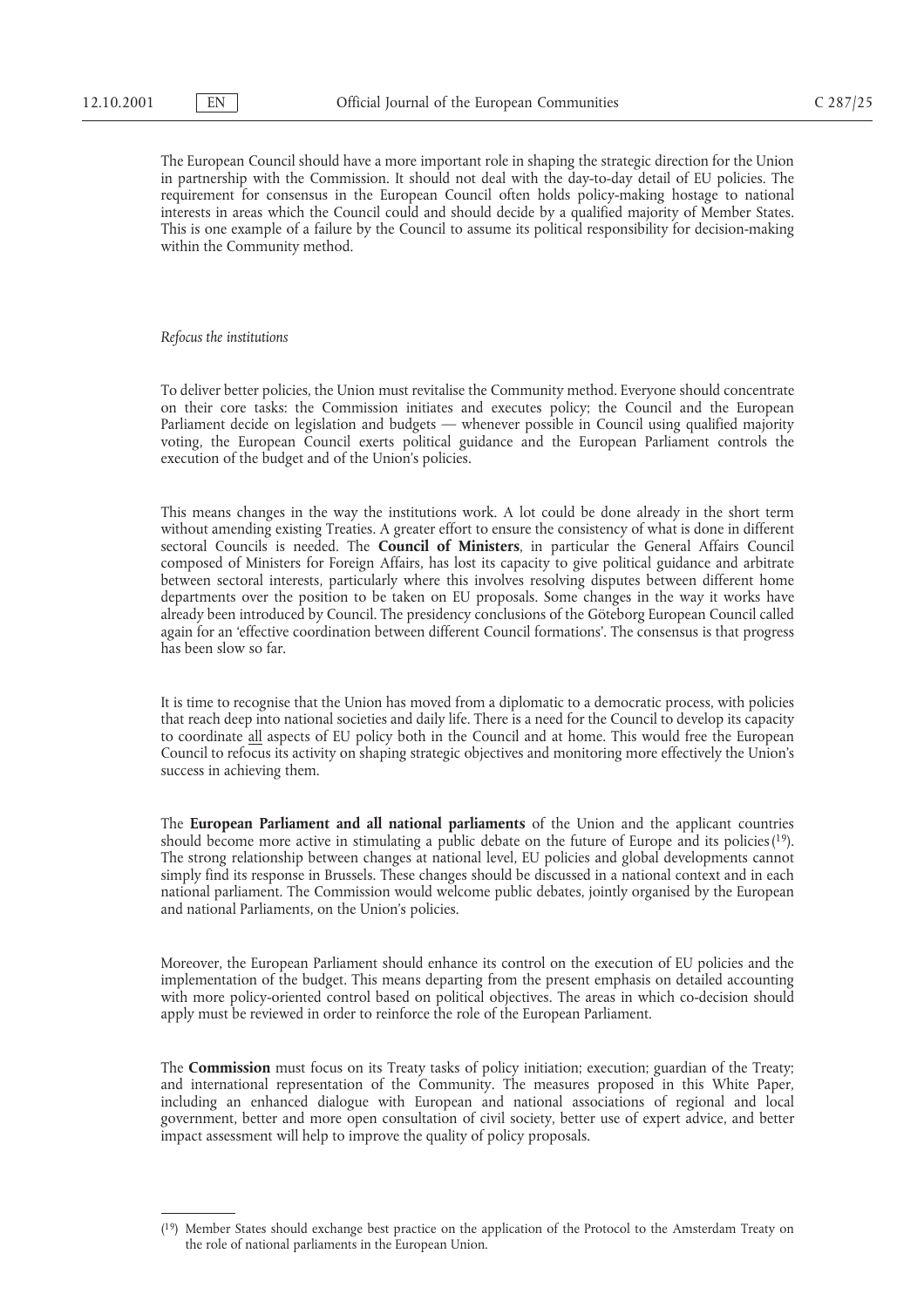The European Council should have a more important role in shaping the strategic direction for the Union in partnership with the Commission. It should not deal with the day-to-day detail of EU policies. The requirement for consensus in the European Council often holds policy-making hostage to national interests in areas which the Council could and should decide by a qualified majority of Member States. This is one example of a failure by the Council to assume its political responsibility for decision-making within the Community method.

#### *Refocus the institutions*

To deliver better policies, the Union must revitalise the Community method. Everyone should concentrate on their core tasks: the Commission initiates and executes policy; the Council and the European Parliament decide on legislation and budgets — whenever possible in Council using qualified majority voting, the European Council exerts political guidance and the European Parliament controls the execution of the budget and of the Union's policies.

This means changes in the way the institutions work. A lot could be done already in the short term without amending existing Treaties. A greater effort to ensure the consistency of what is done in different sectoral Councils is needed. The **Council of Ministers**, in particular the General Affairs Council composed of Ministers for Foreign Affairs, has lost its capacity to give political guidance and arbitrate between sectoral interests, particularly where this involves resolving disputes between different home departments over the position to be taken on EU proposals. Some changes in the way it works have already been introduced by Council. The presidency conclusions of the Göteborg European Council called again for an 'effective coordination between different Council formations'. The consensus is that progress has been slow so far.

It is time to recognise that the Union has moved from a diplomatic to a democratic process, with policies that reach deep into national societies and daily life. There is a need for the Council to develop its capacity to coordinate all aspects of EU policy both in the Council and at home. This would free the European Council to refocus its activity on shaping strategic objectives and monitoring more effectively the Union's success in achieving them.

The **European Parliament and all national parliaments** of the Union and the applicant countries should become more active in stimulating a public debate on the future of Europe and its policies $(19)$ . The strong relationship between changes at national level, EU policies and global developments cannot simply find its response in Brussels. These changes should be discussed in a national context and in each national parliament. The Commission would welcome public debates, jointly organised by the European and national Parliaments, on the Union's policies.

Moreover, the European Parliament should enhance its control on the execution of EU policies and the implementation of the budget. This means departing from the present emphasis on detailed accounting with more policy-oriented control based on political objectives. The areas in which co-decision should apply must be reviewed in order to reinforce the role of the European Parliament.

The **Commission** must focus on its Treaty tasks of policy initiation; execution; guardian of the Treaty; and international representation of the Community. The measures proposed in this White Paper, including an enhanced dialogue with European and national associations of regional and local government, better and more open consultation of civil society, better use of expert advice, and better impact assessment will help to improve the quality of policy proposals.

<sup>(19)</sup> Member States should exchange best practice on the application of the Protocol to the Amsterdam Treaty on the role of national parliaments in the European Union.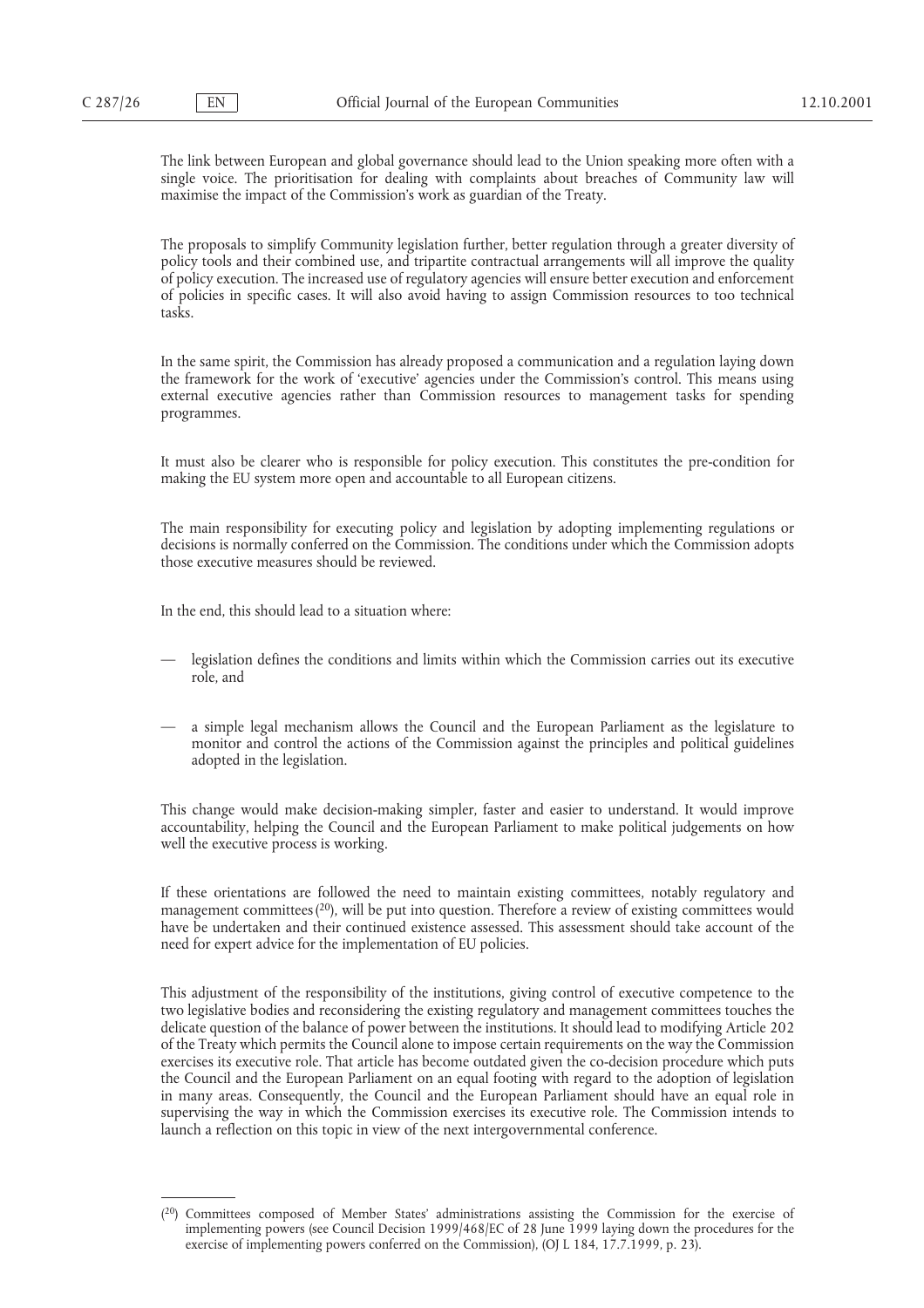The link between European and global governance should lead to the Union speaking more often with a single voice. The prioritisation for dealing with complaints about breaches of Community law will maximise the impact of the Commission's work as guardian of the Treaty.

The proposals to simplify Community legislation further, better regulation through a greater diversity of policy tools and their combined use, and tripartite contractual arrangements will all improve the quality of policy execution. The increased use of regulatory agencies will ensure better execution and enforcement of policies in specific cases. It will also avoid having to assign Commission resources to too technical tasks.

In the same spirit, the Commission has already proposed a communication and a regulation laying down the framework for the work of 'executive' agencies under the Commission's control. This means using external executive agencies rather than Commission resources to management tasks for spending programmes.

It must also be clearer who is responsible for policy execution. This constitutes the pre-condition for making the EU system more open and accountable to all European citizens.

The main responsibility for executing policy and legislation by adopting implementing regulations or decisions is normally conferred on the Commission. The conditions under which the Commission adopts those executive measures should be reviewed.

In the end, this should lead to a situation where:

- legislation defines the conditions and limits within which the Commission carries out its executive role, and
- a simple legal mechanism allows the Council and the European Parliament as the legislature to monitor and control the actions of the Commission against the principles and political guidelines adopted in the legislation.

This change would make decision-making simpler, faster and easier to understand. It would improve accountability, helping the Council and the European Parliament to make political judgements on how well the executive process is working.

If these orientations are followed the need to maintain existing committees, notably regulatory and management committees  $(20)$ , will be put into question. Therefore a review of existing committees would have be undertaken and their continued existence assessed. This assessment should take account of the need for expert advice for the implementation of EU policies.

This adjustment of the responsibility of the institutions, giving control of executive competence to the two legislative bodies and reconsidering the existing regulatory and management committees touches the delicate question of the balance of power between the institutions. It should lead to modifying Article 202 of the Treaty which permits the Council alone to impose certain requirements on the way the Commission exercises its executive role. That article has become outdated given the co-decision procedure which puts the Council and the European Parliament on an equal footing with regard to the adoption of legislation in many areas. Consequently, the Council and the European Parliament should have an equal role in supervising the way in which the Commission exercises its executive role. The Commission intends to launch a reflection on this topic in view of the next intergovernmental conference.

<sup>(20)</sup> Committees composed of Member States' administrations assisting the Commission for the exercise of implementing powers (see Council Decision 1999/468/EC of 28 June 1999 laying down the procedures for the exercise of implementing powers conferred on the Commission), (OJ L 184, 17.7.1999, p. 23).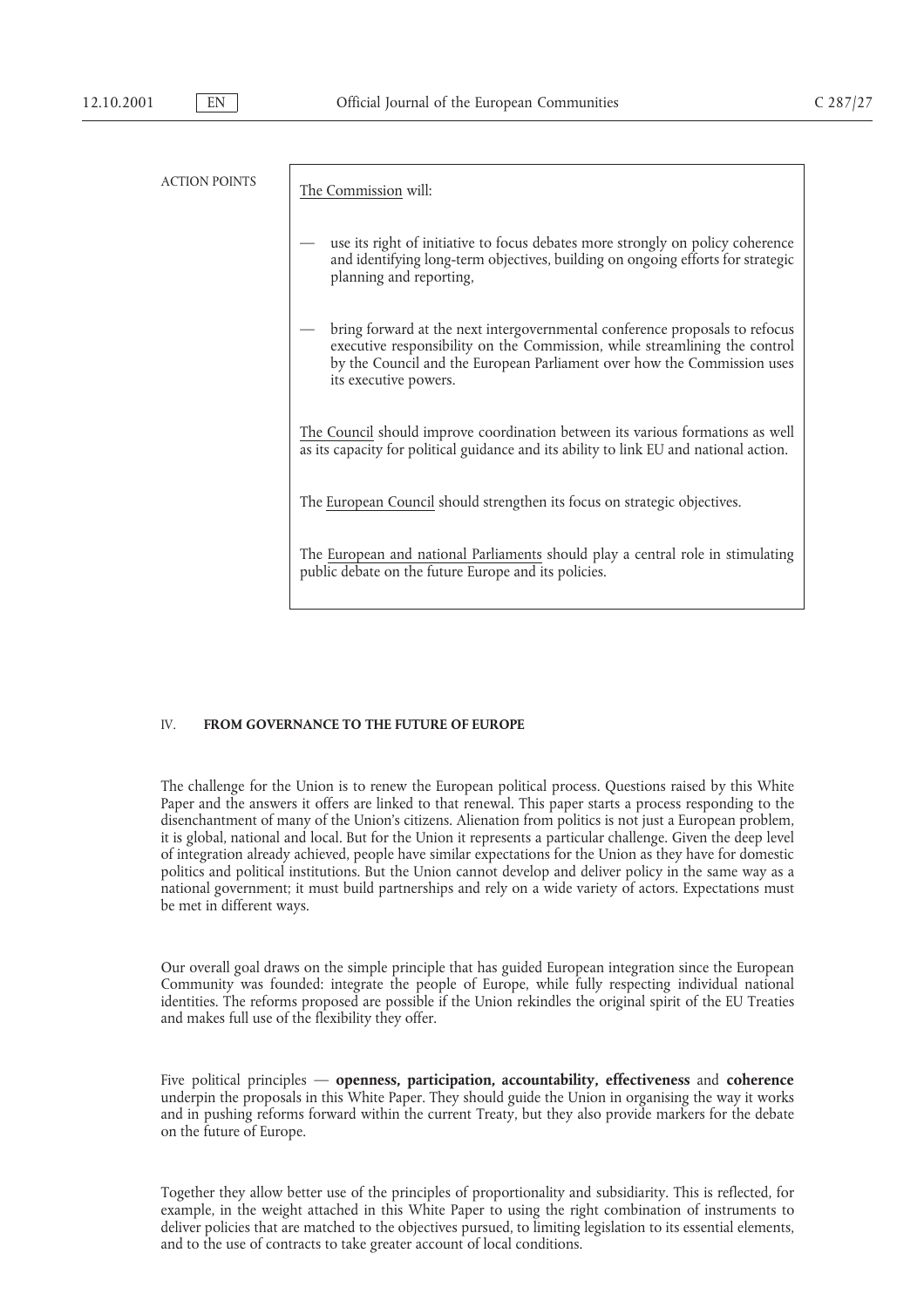| <b>ACTION POINTS</b> |                                                                                                                                                                                                                                                               |
|----------------------|---------------------------------------------------------------------------------------------------------------------------------------------------------------------------------------------------------------------------------------------------------------|
|                      | The Commission will:                                                                                                                                                                                                                                          |
|                      | use its right of initiative to focus debates more strongly on policy coherence<br>and identifying long-term objectives, building on ongoing efforts for strategic<br>planning and reporting,                                                                  |
|                      | bring forward at the next intergovernmental conference proposals to refocus<br>executive responsibility on the Commission, while streamlining the control<br>by the Council and the European Parliament over how the Commission uses<br>its executive powers. |
|                      | The Council should improve coordination between its various formations as well<br>as its capacity for political guidance and its ability to link EU and national action.                                                                                      |
|                      | The European Council should strengthen its focus on strategic objectives.                                                                                                                                                                                     |
|                      | The European and national Parliaments should play a central role in stimulating<br>public debate on the future Europe and its policies.                                                                                                                       |

# IV. **FROM GOVERNANCE TO THE FUTURE OF EUROPE**

The challenge for the Union is to renew the European political process. Questions raised by this White Paper and the answers it offers are linked to that renewal. This paper starts a process responding to the disenchantment of many of the Union's citizens. Alienation from politics is not just a European problem, it is global, national and local. But for the Union it represents a particular challenge. Given the deep level of integration already achieved, people have similar expectations for the Union as they have for domestic politics and political institutions. But the Union cannot develop and deliver policy in the same way as a national government; it must build partnerships and rely on a wide variety of actors. Expectations must be met in different ways.

Our overall goal draws on the simple principle that has guided European integration since the European Community was founded: integrate the people of Europe, while fully respecting individual national identities. The reforms proposed are possible if the Union rekindles the original spirit of the EU Treaties and makes full use of the flexibility they offer.

Five political principles — **openness, participation, accountability, effectiveness** and **coherence** underpin the proposals in this White Paper. They should guide the Union in organising the way it works and in pushing reforms forward within the current Treaty, but they also provide markers for the debate on the future of Europe.

Together they allow better use of the principles of proportionality and subsidiarity. This is reflected, for example, in the weight attached in this White Paper to using the right combination of instruments to deliver policies that are matched to the objectives pursued, to limiting legislation to its essential elements, and to the use of contracts to take greater account of local conditions.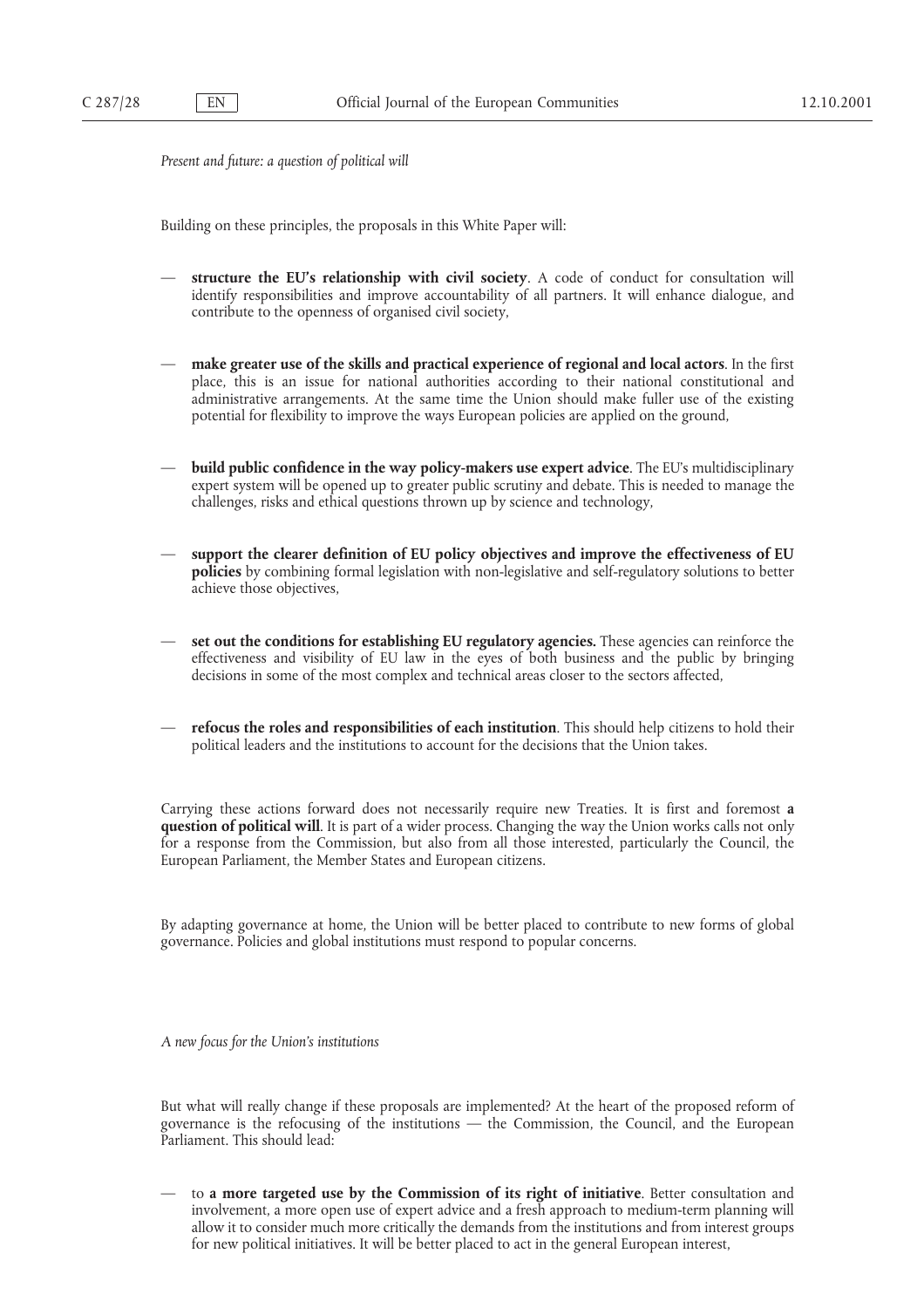*Present and future: a question of political will*

Building on these principles, the proposals in this White Paper will:

- **structure the EU's relationship with civil society**. A code of conduct for consultation will identify responsibilities and improve accountability of all partners. It will enhance dialogue, and contribute to the openness of organised civil society,
- **make greater use of the skills and practical experience of regional and local actors**. In the first place, this is an issue for national authorities according to their national constitutional and administrative arrangements. At the same time the Union should make fuller use of the existing potential for flexibility to improve the ways European policies are applied on the ground,
- **build public confidence in the way policy-makers use expert advice**. The EU's multidisciplinary expert system will be opened up to greater public scrutiny and debate. This is needed to manage the challenges, risks and ethical questions thrown up by science and technology,
- **support the clearer definition of EU policy objectives and improve the effectiveness of EU policies** by combining formal legislation with non-legislative and self-regulatory solutions to better achieve those objectives,
- **set out the conditions for establishing EU regulatory agencies.** These agencies can reinforce the effectiveness and visibility of EU law in the eyes of both business and the public by bringing decisions in some of the most complex and technical areas closer to the sectors affected,
- **refocus the roles and responsibilities of each institution**. This should help citizens to hold their political leaders and the institutions to account for the decisions that the Union takes.

Carrying these actions forward does not necessarily require new Treaties. It is first and foremost **a question of political will**. It is part of a wider process. Changing the way the Union works calls not only for a response from the Commission, but also from all those interested, particularly the Council, the European Parliament, the Member States and European citizens.

By adapting governance at home, the Union will be better placed to contribute to new forms of global governance. Policies and global institutions must respond to popular concerns.

*A new focus for the Union's institutions*

But what will really change if these proposals are implemented? At the heart of the proposed reform of governance is the refocusing of the institutions — the Commission, the Council, and the European Parliament. This should lead:

— to **a more targeted use by the Commission of its right of initiative**. Better consultation and involvement, a more open use of expert advice and a fresh approach to medium-term planning will allow it to consider much more critically the demands from the institutions and from interest groups for new political initiatives. It will be better placed to act in the general European interest,